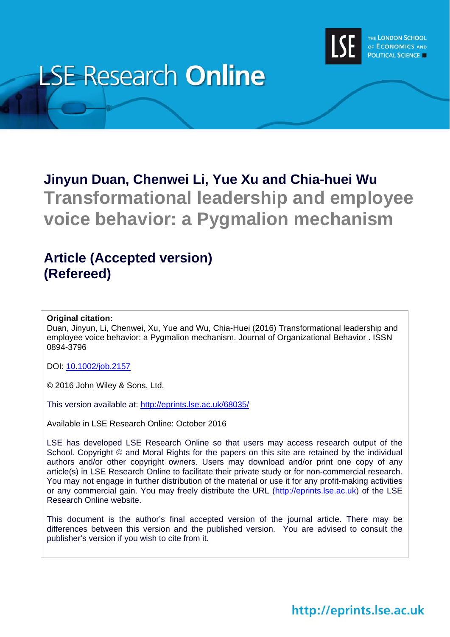

# **LSE Research Online**

# **Jinyun Duan, Chenwei Li, Yue Xu and Chia-huei Wu Transformational leadership and employee voice behavior: a Pygmalion mechanism**

# **Article (Accepted version) (Refereed)**

#### **Original citation:**

Duan, Jinyun, Li, Chenwei, Xu, Yue and Wu, Chia-Huei (2016) Transformational leadership and employee voice behavior: a Pygmalion mechanism. Journal of Organizational Behavior . ISSN 0894-3796

DOI: 10.1002/job.2157

© 2016 John Wiley & Sons, Ltd.

This version available at: http://eprints.lse.ac.uk/68035/

Available in LSE Research Online: October 2016

LSE has developed LSE Research Online so that users may access research output of the School. Copyright © and Moral Rights for the papers on this site are retained by the individual authors and/or other copyright owners. Users may download and/or print one copy of any article(s) in LSE Research Online to facilitate their private study or for non-commercial research. You may not engage in further distribution of the material or use it for any profit-making activities or any commercial gain. You may freely distribute the URL (http://eprints.lse.ac.uk) of the LSE Research Online website.

This document is the author's final accepted version of the journal article. There may be differences between this version and the published version. You are advised to consult the publisher's version if you wish to cite from it.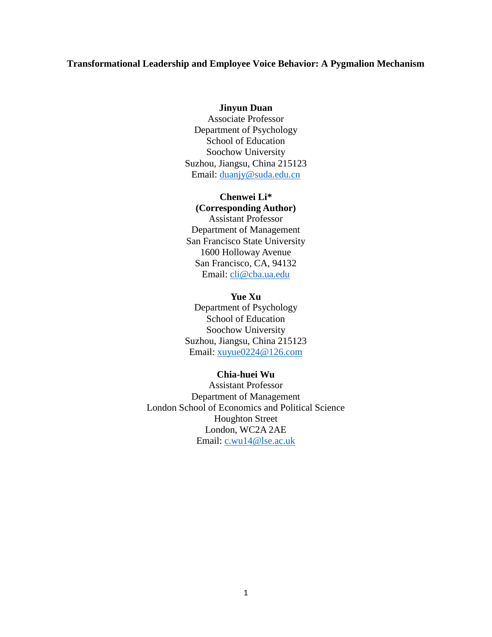#### **Transformational Leadership and Employee Voice Behavior: A Pygmalion Mechanism**

#### **Jinyun Duan**

Associate Professor Department of Psychology School of Education Soochow University Suzhou, Jiangsu, China 215123 Email: [duanjy@suda.edu.cn](mailto:duanjy@suda.edu.cn)

#### **Chenwei Li\***

**(Corresponding Author)** Assistant Professor Department of Management San Francisco State University 1600 Holloway Avenue San Francisco, CA, 94132 Email: [cli@cba.ua.edu](mailto:cli@cba.ua.edu) 

**Yue Xu** Department of Psychology School of Education Soochow University Suzhou, Jiangsu, China 215123 Email: [xuyue0224@126.com](mailto:xuyue0224@126.com)

#### **Chia-huei Wu**

Assistant Professor Department of Management London School of Economics and Political Science Houghton Street London, WC2A 2AE Email: [c.wu14@lse.ac.uk](mailto:c.wu14@lse.ac.uk)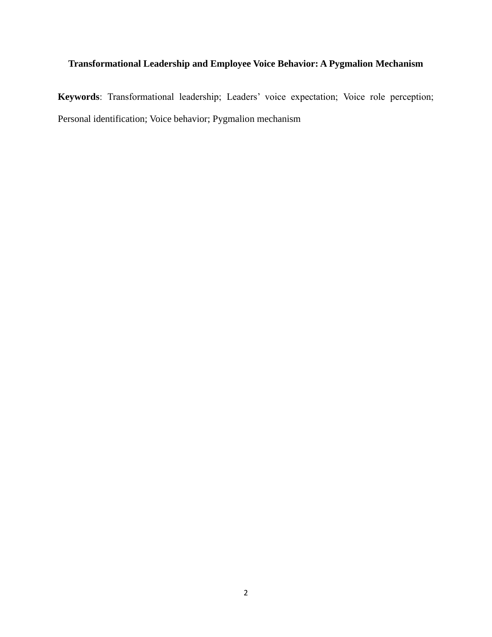# **Transformational Leadership and Employee Voice Behavior: A Pygmalion Mechanism**

**Keywords**: Transformational leadership; Leaders' voice expectation; Voice role perception; Personal identification; Voice behavior; Pygmalion mechanism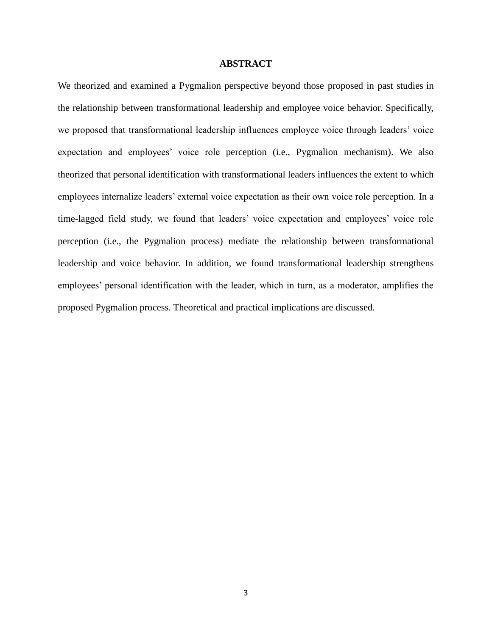#### **ABSTRACT**

We theorized and examined a Pygmalion perspective beyond those proposed in past studies in the relationship between transformational leadership and employee voice behavior. Specifically, we proposed that transformational leadership influences employee voice through leaders' voice expectation and employees' voice role perception (i.e., Pygmalion mechanism). We also theorized that personal identification with transformational leaders influences the extent to which employees internalize leaders' external voice expectation as their own voice role perception. In a time-lagged field study, we found that leaders' voice expectation and employees' voice role perception (i.e., the Pygmalion process) mediate the relationship between transformational leadership and voice behavior. In addition, we found transformational leadership strengthens employees' personal identification with the leader, which in turn, as a moderator, amplifies the proposed Pygmalion process. Theoretical and practical implications are discussed.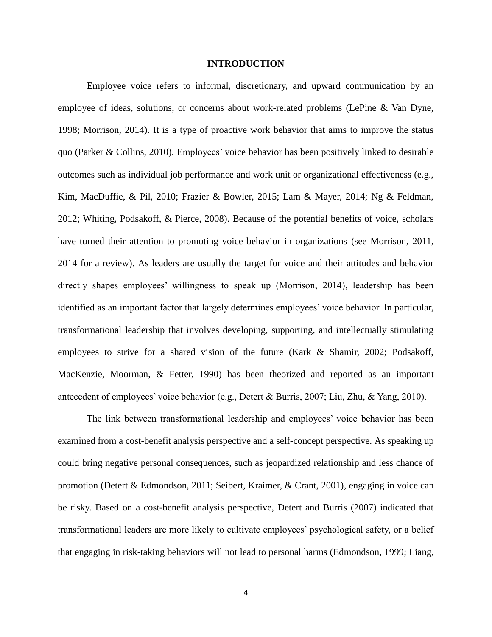#### **INTRODUCTION**

Employee voice refers to informal, discretionary, and upward communication by an employee of ideas, solutions, or concerns about work-related problems (LePine & Van Dyne, 1998; Morrison, 2014). It is a type of proactive work behavior that aims to improve the status quo (Parker & Collins, 2010). Employees' voice behavior has been positively linked to desirable outcomes such as individual job performance and work unit or organizational effectiveness (e.g., Kim, MacDuffie, & Pil, 2010; Frazier & Bowler, 2015; Lam & Mayer, 2014; Ng & Feldman, 2012; Whiting, Podsakoff, & Pierce, 2008). Because of the potential benefits of voice, scholars have turned their attention to promoting voice behavior in organizations (see Morrison, 2011, 2014 for a review). As leaders are usually the target for voice and their attitudes and behavior directly shapes employees' willingness to speak up (Morrison, 2014), leadership has been identified as an important factor that largely determines employees' voice behavior. In particular, transformational leadership that involves developing, supporting, and intellectually stimulating employees to strive for a shared vision of the future (Kark & Shamir, 2002; Podsakoff, MacKenzie, Moorman, & Fetter, 1990) has been theorized and reported as an important antecedent of employees' voice behavior (e.g., Detert & Burris, 2007; Liu, Zhu, & Yang, 2010).

The link between transformational leadership and employees' voice behavior has been examined from a cost-benefit analysis perspective and a self-concept perspective. As speaking up could bring negative personal consequences, such as jeopardized relationship and less chance of promotion (Detert & Edmondson, 2011; Seibert, Kraimer, & Crant, 2001), engaging in voice can be risky. Based on a cost-benefit analysis perspective, Detert and Burris (2007) indicated that transformational leaders are more likely to cultivate employees' psychological safety, or a belief that engaging in risk-taking behaviors will not lead to personal harms (Edmondson, 1999; Liang,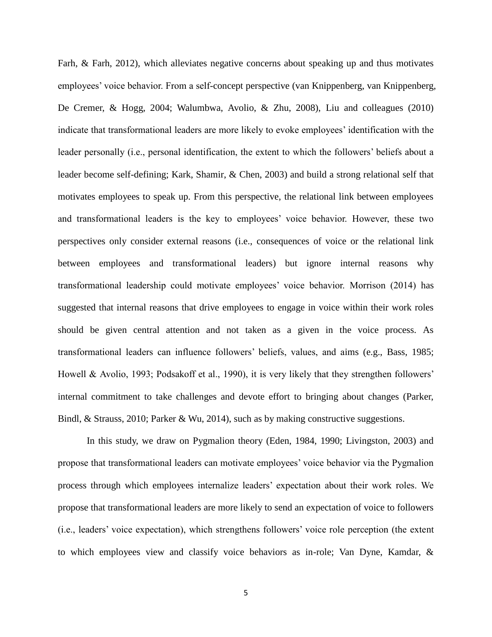Farh, & Farh, 2012), which alleviates negative concerns about speaking up and thus motivates employees' voice behavior. From a self-concept perspective (van Knippenberg, van Knippenberg, De Cremer, & Hogg, 2004; Walumbwa, Avolio, & Zhu, 2008), Liu and colleagues (2010) indicate that transformational leaders are more likely to evoke employees' identification with the leader personally (i.e., personal identification, the extent to which the followers' beliefs about a leader become self-defining; Kark, Shamir, & Chen, 2003) and build a strong relational self that motivates employees to speak up. From this perspective, the relational link between employees and transformational leaders is the key to employees' voice behavior. However, these two perspectives only consider external reasons (i.e., consequences of voice or the relational link between employees and transformational leaders) but ignore internal reasons why transformational leadership could motivate employees' voice behavior. Morrison (2014) has suggested that internal reasons that drive employees to engage in voice within their work roles should be given central attention and not taken as a given in the voice process. As transformational leaders can influence followers' beliefs, values, and aims (e.g., Bass, 1985; Howell & Avolio, 1993; Podsakoff et al., 1990), it is very likely that they strengthen followers' internal commitment to take challenges and devote effort to bringing about changes (Parker, Bindl, & Strauss, 2010; Parker & Wu, 2014), such as by making constructive suggestions.

In this study, we draw on Pygmalion theory (Eden, 1984, 1990; Livingston, 2003) and propose that transformational leaders can motivate employees' voice behavior via the Pygmalion process through which employees internalize leaders' expectation about their work roles. We propose that transformational leaders are more likely to send an expectation of voice to followers (i.e., leaders' voice expectation), which strengthens followers' voice role perception (the extent to which employees view and classify voice behaviors as in-role; Van Dyne, Kamdar, &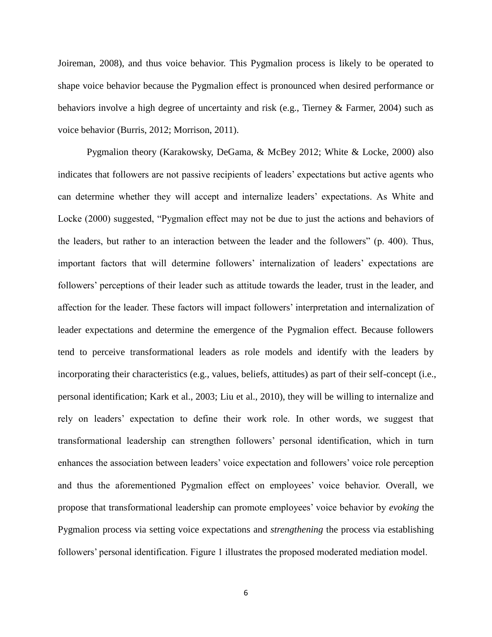Joireman, 2008), and thus voice behavior. This Pygmalion process is likely to be operated to shape voice behavior because the Pygmalion effect is pronounced when desired performance or behaviors involve a high degree of uncertainty and risk (e.g., Tierney & Farmer, 2004) such as voice behavior (Burris, 2012; Morrison, 2011).

Pygmalion theory (Karakowsky, DeGama, & McBey 2012; White & Locke, 2000) also indicates that followers are not passive recipients of leaders' expectations but active agents who can determine whether they will accept and internalize leaders' expectations. As White and Locke (2000) suggested, "Pygmalion effect may not be due to just the actions and behaviors of the leaders, but rather to an interaction between the leader and the followers" (p. 400). Thus, important factors that will determine followers' internalization of leaders' expectations are followers' perceptions of their leader such as attitude towards the leader, trust in the leader, and affection for the leader. These factors will impact followers' interpretation and internalization of leader expectations and determine the emergence of the Pygmalion effect. Because followers tend to perceive transformational leaders as role models and identify with the leaders by incorporating their characteristics (e.g., values, beliefs, attitudes) as part of their self-concept (i.e., personal identification; Kark et al., 2003; Liu et al., 2010), they will be willing to internalize and rely on leaders' expectation to define their work role. In other words, we suggest that transformational leadership can strengthen followers' personal identification, which in turn enhances the association between leaders' voice expectation and followers' voice role perception and thus the aforementioned Pygmalion effect on employees' voice behavior. Overall, we propose that transformational leadership can promote employees' voice behavior by *evoking* the Pygmalion process via setting voice expectations and *strengthening* the process via establishing followers' personal identification. Figure 1 illustrates the proposed moderated mediation model.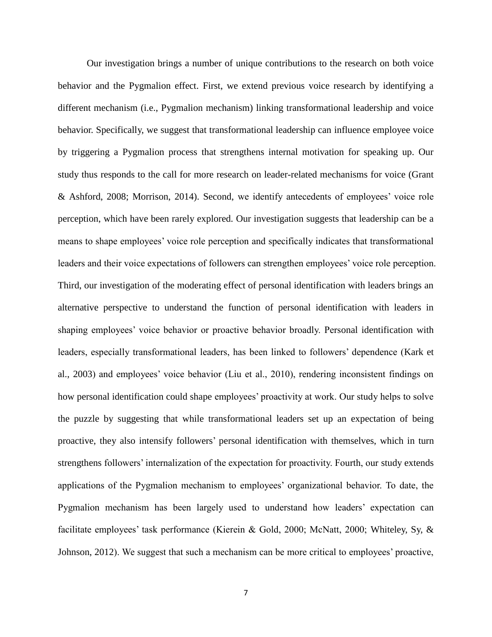Our investigation brings a number of unique contributions to the research on both voice behavior and the Pygmalion effect. First, we extend previous voice research by identifying a different mechanism (i.e., Pygmalion mechanism) linking transformational leadership and voice behavior. Specifically, we suggest that transformational leadership can influence employee voice by triggering a Pygmalion process that strengthens internal motivation for speaking up. Our study thus responds to the call for more research on leader-related mechanisms for voice (Grant & Ashford, 2008; Morrison, 2014). Second, we identify antecedents of employees' voice role perception, which have been rarely explored. Our investigation suggests that leadership can be a means to shape employees' voice role perception and specifically indicates that transformational leaders and their voice expectations of followers can strengthen employees' voice role perception. Third, our investigation of the moderating effect of personal identification with leaders brings an alternative perspective to understand the function of personal identification with leaders in shaping employees' voice behavior or proactive behavior broadly. Personal identification with leaders, especially transformational leaders, has been linked to followers' dependence (Kark et al., 2003) and employees' voice behavior (Liu et al., 2010), rendering inconsistent findings on how personal identification could shape employees' proactivity at work. Our study helps to solve the puzzle by suggesting that while transformational leaders set up an expectation of being proactive, they also intensify followers' personal identification with themselves, which in turn strengthens followers' internalization of the expectation for proactivity. Fourth, our study extends applications of the Pygmalion mechanism to employees' organizational behavior. To date, the Pygmalion mechanism has been largely used to understand how leaders' expectation can facilitate employees' task performance (Kierein & Gold, 2000; McNatt, 2000; Whiteley, Sy, & Johnson, 2012). We suggest that such a mechanism can be more critical to employees' proactive,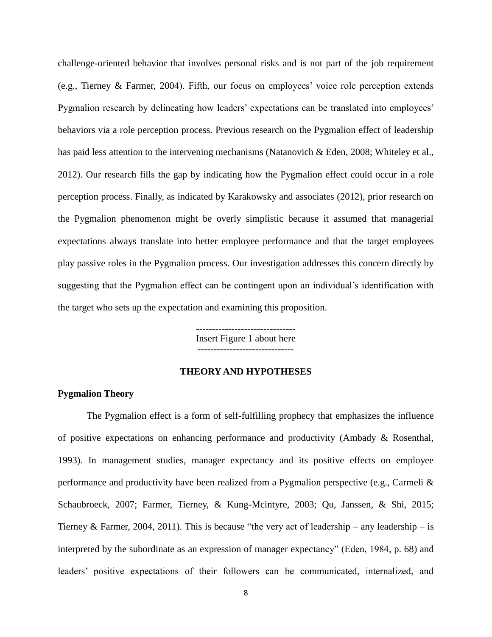challenge-oriented behavior that involves personal risks and is not part of the job requirement (e.g., Tierney & Farmer, 2004). Fifth, our focus on employees' voice role perception extends Pygmalion research by delineating how leaders' expectations can be translated into employees' behaviors via a role perception process. Previous research on the Pygmalion effect of leadership has paid less attention to the intervening mechanisms (Natanovich & Eden, 2008; Whiteley et al., 2012). Our research fills the gap by indicating how the Pygmalion effect could occur in a role perception process. Finally, as indicated by Karakowsky and associates (2012), prior research on the Pygmalion phenomenon might be overly simplistic because it assumed that managerial expectations always translate into better employee performance and that the target employees play passive roles in the Pygmalion process. Our investigation addresses this concern directly by suggesting that the Pygmalion effect can be contingent upon an individual's identification with the target who sets up the expectation and examining this proposition.

> ------------------------------- Insert Figure 1 about here ------------------------------

### **THEORY AND HYPOTHESES**

### **Pygmalion Theory**

The Pygmalion effect is a form of self-fulfilling prophecy that emphasizes the influence of positive expectations on enhancing performance and productivity (Ambady & Rosenthal, 1993). In management studies, manager expectancy and its positive effects on employee performance and productivity have been realized from a Pygmalion perspective (e.g., Carmeli & Schaubroeck, 2007; Farmer, Tierney, & Kung-Mcintyre, 2003; Qu, Janssen, & Shi, 2015; Tierney & Farmer, 2004, 2011). This is because "the very act of leadership – any leadership – is interpreted by the subordinate as an expression of manager expectancy" (Eden, 1984, p. 68) and leaders' positive expectations of their followers can be communicated, internalized, and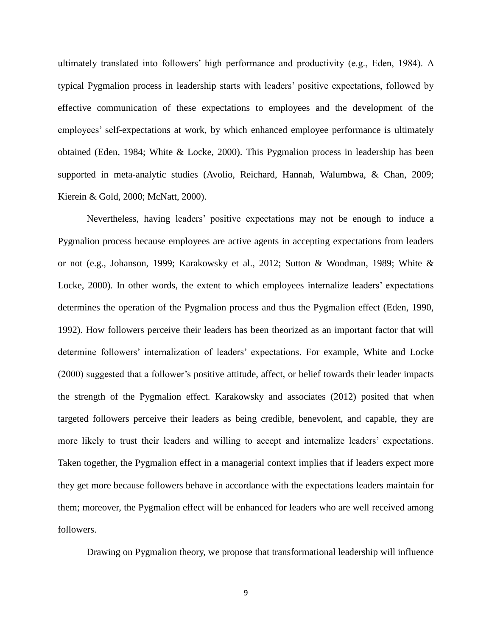ultimately translated into followers' high performance and productivity (e.g., Eden, 1984). A typical Pygmalion process in leadership starts with leaders' positive expectations, followed by effective communication of these expectations to employees and the development of the employees' self-expectations at work, by which enhanced employee performance is ultimately obtained (Eden, 1984; White & Locke, 2000). This Pygmalion process in leadership has been supported in meta-analytic studies (Avolio, Reichard, Hannah, Walumbwa, & Chan, 2009; Kierein & Gold, 2000; McNatt, 2000).

Nevertheless, having leaders' positive expectations may not be enough to induce a Pygmalion process because employees are active agents in accepting expectations from leaders or not (e.g., Johanson, 1999; Karakowsky et al., 2012; Sutton & Woodman, 1989; White & Locke, 2000). In other words, the extent to which employees internalize leaders' expectations determines the operation of the Pygmalion process and thus the Pygmalion effect (Eden, 1990, 1992). How followers perceive their leaders has been theorized as an important factor that will determine followers' internalization of leaders' expectations. For example, White and Locke (2000) suggested that a follower's positive attitude, affect, or belief towards their leader impacts the strength of the Pygmalion effect. Karakowsky and associates (2012) posited that when targeted followers perceive their leaders as being credible, benevolent, and capable, they are more likely to trust their leaders and willing to accept and internalize leaders' expectations. Taken together, the Pygmalion effect in a managerial context implies that if leaders expect more they get more because followers behave in accordance with the expectations leaders maintain for them; moreover, the Pygmalion effect will be enhanced for leaders who are well received among followers.

Drawing on Pygmalion theory, we propose that transformational leadership will influence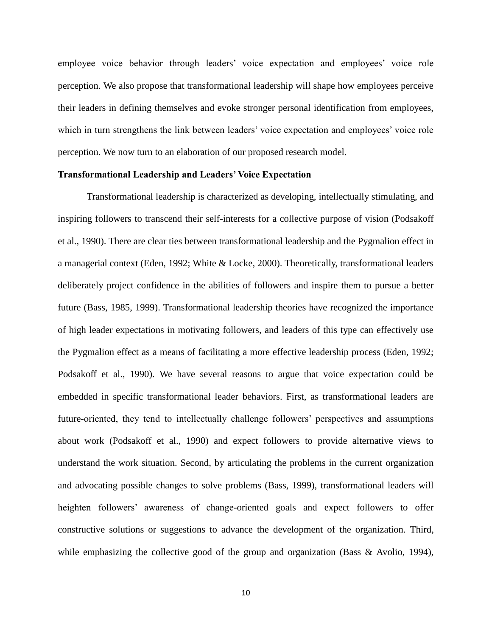employee voice behavior through leaders' voice expectation and employees' voice role perception. We also propose that transformational leadership will shape how employees perceive their leaders in defining themselves and evoke stronger personal identification from employees, which in turn strengthens the link between leaders' voice expectation and employees' voice role perception. We now turn to an elaboration of our proposed research model.

#### **Transformational Leadership and Leaders' Voice Expectation**

Transformational leadership is characterized as developing, intellectually stimulating, and inspiring followers to transcend their self-interests for a collective purpose of vision (Podsakoff et al., 1990). There are clear ties between transformational leadership and the Pygmalion effect in a managerial context (Eden, 1992; White & Locke, 2000). Theoretically, transformational leaders deliberately project confidence in the abilities of followers and inspire them to pursue a better future (Bass, 1985, 1999). Transformational leadership theories have recognized the importance of high leader expectations in motivating followers, and leaders of this type can effectively use the Pygmalion effect as a means of facilitating a more effective leadership process (Eden, 1992; Podsakoff et al., 1990). We have several reasons to argue that voice expectation could be embedded in specific transformational leader behaviors. First, as transformational leaders are future-oriented, they tend to intellectually challenge followers' perspectives and assumptions about work (Podsakoff et al., 1990) and expect followers to provide alternative views to understand the work situation. Second, by articulating the problems in the current organization and advocating possible changes to solve problems (Bass, 1999), transformational leaders will heighten followers' awareness of change-oriented goals and expect followers to offer constructive solutions or suggestions to advance the development of the organization. Third, while emphasizing the collective good of the group and organization (Bass & Avolio, 1994),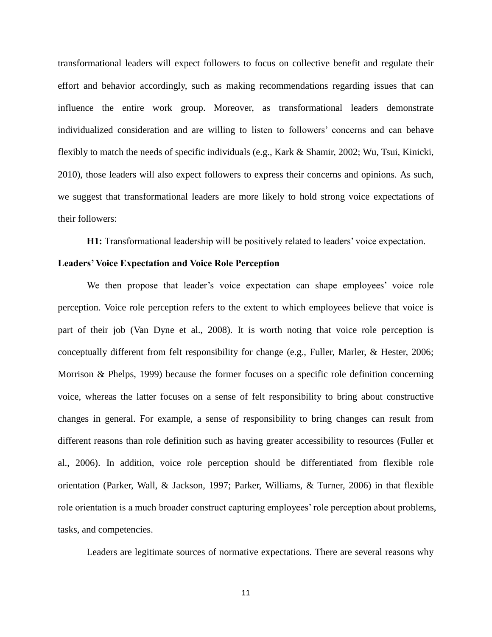transformational leaders will expect followers to focus on collective benefit and regulate their effort and behavior accordingly, such as making recommendations regarding issues that can influence the entire work group. Moreover, as transformational leaders demonstrate individualized consideration and are willing to listen to followers' concerns and can behave flexibly to match the needs of specific individuals (e.g., Kark & Shamir, 2002; Wu, Tsui, Kinicki, 2010), those leaders will also expect followers to express their concerns and opinions. As such, we suggest that transformational leaders are more likely to hold strong voice expectations of their followers:

**H1:** Transformational leadership will be positively related to leaders' voice expectation.

#### **Leaders' Voice Expectation and Voice Role Perception**

We then propose that leader's voice expectation can shape employees' voice role perception. Voice role perception refers to the extent to which employees believe that voice is part of their job (Van Dyne et al., 2008). It is worth noting that voice role perception is conceptually different from felt responsibility for change (e.g., Fuller, Marler, & Hester, 2006; Morrison & Phelps, 1999) because the former focuses on a specific role definition concerning voice, whereas the latter focuses on a sense of felt responsibility to bring about constructive changes in general. For example, a sense of responsibility to bring changes can result from different reasons than role definition such as having greater accessibility to resources (Fuller et al., 2006). In addition, voice role perception should be differentiated from flexible role orientation (Parker, Wall, & Jackson, 1997; Parker, Williams, & Turner, 2006) in that flexible role orientation is a much broader construct capturing employees' role perception about problems, tasks, and competencies.

Leaders are legitimate sources of normative expectations. There are several reasons why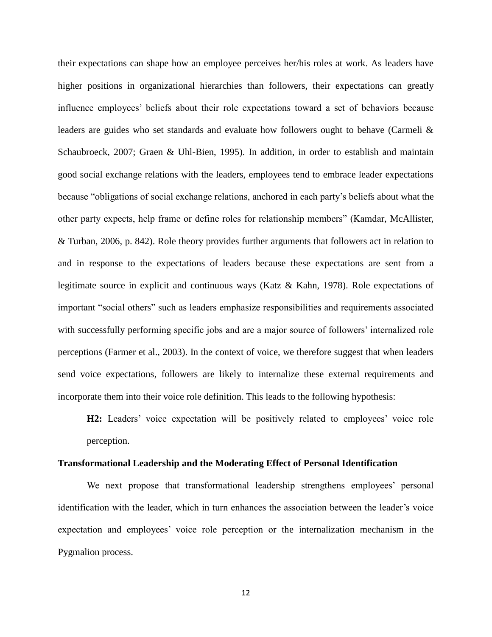their expectations can shape how an employee perceives her/his roles at work. As leaders have higher positions in organizational hierarchies than followers, their expectations can greatly influence employees' beliefs about their role expectations toward a set of behaviors because leaders are guides who set standards and evaluate how followers ought to behave (Carmeli & Schaubroeck, 2007; Graen & Uhl-Bien, 1995). In addition, in order to establish and maintain good social exchange relations with the leaders, employees tend to embrace leader expectations because "obligations of social exchange relations, anchored in each party's beliefs about what the other party expects, help frame or define roles for relationship members" (Kamdar, McAllister, & Turban, 2006, p. 842). Role theory provides further arguments that followers act in relation to and in response to the expectations of leaders because these expectations are sent from a legitimate source in explicit and continuous ways (Katz & Kahn, 1978). Role expectations of important "social others" such as leaders emphasize responsibilities and requirements associated with successfully performing specific jobs and are a major source of followers' internalized role perceptions (Farmer et al., 2003). In the context of voice, we therefore suggest that when leaders send voice expectations, followers are likely to internalize these external requirements and incorporate them into their voice role definition. This leads to the following hypothesis:

**H2:** Leaders' voice expectation will be positively related to employees' voice role perception.

#### **Transformational Leadership and the Moderating Effect of Personal Identification**

We next propose that transformational leadership strengthens employees' personal identification with the leader, which in turn enhances the association between the leader's voice expectation and employees' voice role perception or the internalization mechanism in the Pygmalion process.

12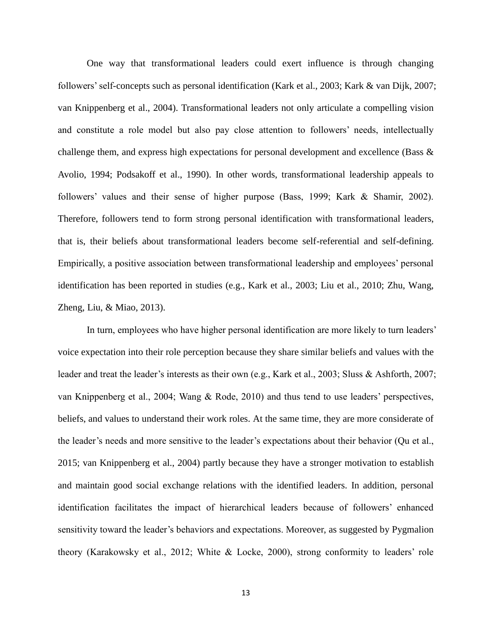One way that transformational leaders could exert influence is through changing followers' self-concepts such as personal identification (Kark et al., 2003; Kark & van Dijk, 2007; van Knippenberg et al., 2004). Transformational leaders not only articulate a compelling vision and constitute a role model but also pay close attention to followers' needs, intellectually challenge them, and express high expectations for personal development and excellence (Bass & Avolio, 1994; Podsakoff et al., 1990). In other words, transformational leadership appeals to followers' values and their sense of higher purpose (Bass, 1999; Kark & Shamir, 2002). Therefore, followers tend to form strong personal identification with transformational leaders, that is, their beliefs about transformational leaders become self-referential and self-defining. Empirically, a positive association between transformational leadership and employees' personal identification has been reported in studies (e.g., Kark et al., 2003; Liu et al., 2010; Zhu, Wang, Zheng, Liu, & Miao, 2013).

In turn, employees who have higher personal identification are more likely to turn leaders' voice expectation into their role perception because they share similar beliefs and values with the leader and treat the leader's interests as their own (e.g., Kark et al., 2003; Sluss & Ashforth, 2007; van Knippenberg et al., 2004; Wang & Rode, 2010) and thus tend to use leaders' perspectives, beliefs, and values to understand their work roles. At the same time, they are more considerate of the leader's needs and more sensitive to the leader's expectations about their behavior (Qu et al., 2015; van Knippenberg et al., 2004) partly because they have a stronger motivation to establish and maintain good social exchange relations with the identified leaders. In addition, personal identification facilitates the impact of hierarchical leaders because of followers' enhanced sensitivity toward the leader's behaviors and expectations. Moreover, as suggested by Pygmalion theory (Karakowsky et al., 2012; White & Locke, 2000), strong conformity to leaders' role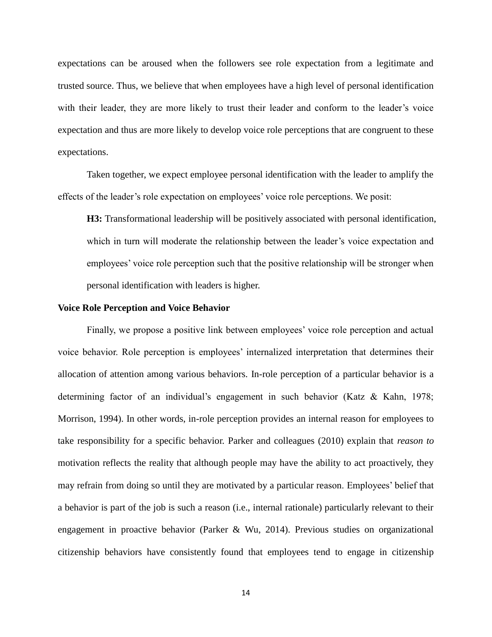expectations can be aroused when the followers see role expectation from a legitimate and trusted source. Thus, we believe that when employees have a high level of personal identification with their leader, they are more likely to trust their leader and conform to the leader's voice expectation and thus are more likely to develop voice role perceptions that are congruent to these expectations.

Taken together, we expect employee personal identification with the leader to amplify the effects of the leader's role expectation on employees' voice role perceptions. We posit:

**H3:** Transformational leadership will be positively associated with personal identification, which in turn will moderate the relationship between the leader's voice expectation and employees' voice role perception such that the positive relationship will be stronger when personal identification with leaders is higher.

#### **Voice Role Perception and Voice Behavior**

Finally, we propose a positive link between employees' voice role perception and actual voice behavior. Role perception is employees' internalized interpretation that determines their allocation of attention among various behaviors. In-role perception of a particular behavior is a determining factor of an individual's engagement in such behavior (Katz & Kahn, 1978; Morrison, 1994). In other words, in-role perception provides an internal reason for employees to take responsibility for a specific behavior. Parker and colleagues (2010) explain that *reason to* motivation reflects the reality that although people may have the ability to act proactively, they may refrain from doing so until they are motivated by a particular reason. Employees' belief that a behavior is part of the job is such a reason (i.e., internal rationale) particularly relevant to their engagement in proactive behavior (Parker & Wu, 2014). Previous studies on organizational citizenship behaviors have consistently found that employees tend to engage in citizenship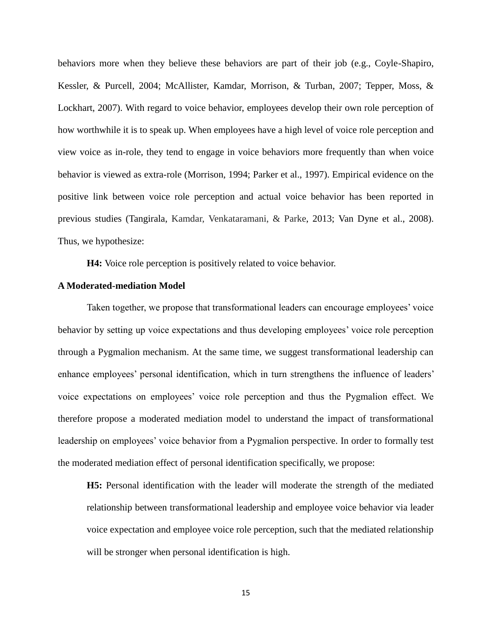behaviors more when they believe these behaviors are part of their job (e.g., Coyle-Shapiro, Kessler, & Purcell, 2004; McAllister, Kamdar, Morrison, & Turban, 2007; Tepper, Moss, & Lockhart, 2007). With regard to voice behavior, employees develop their own role perception of how worthwhile it is to speak up. When employees have a high level of voice role perception and view voice as in-role, they tend to engage in voice behaviors more frequently than when voice behavior is viewed as extra-role (Morrison, 1994; Parker et al., 1997). Empirical evidence on the positive link between voice role perception and actual voice behavior has been reported in previous studies (Tangirala, Kamdar, Venkataramani, & Parke, 2013; Van Dyne et al., 2008). Thus, we hypothesize:

**H4:** Voice role perception is positively related to voice behavior.

#### **A Moderated-mediation Model**

Taken together, we propose that transformational leaders can encourage employees' voice behavior by setting up voice expectations and thus developing employees' voice role perception through a Pygmalion mechanism. At the same time, we suggest transformational leadership can enhance employees' personal identification, which in turn strengthens the influence of leaders' voice expectations on employees' voice role perception and thus the Pygmalion effect. We therefore propose a moderated mediation model to understand the impact of transformational leadership on employees' voice behavior from a Pygmalion perspective. In order to formally test the moderated mediation effect of personal identification specifically, we propose:

**H5:** Personal identification with the leader will moderate the strength of the mediated relationship between transformational leadership and employee voice behavior via leader voice expectation and employee voice role perception, such that the mediated relationship will be stronger when personal identification is high.

15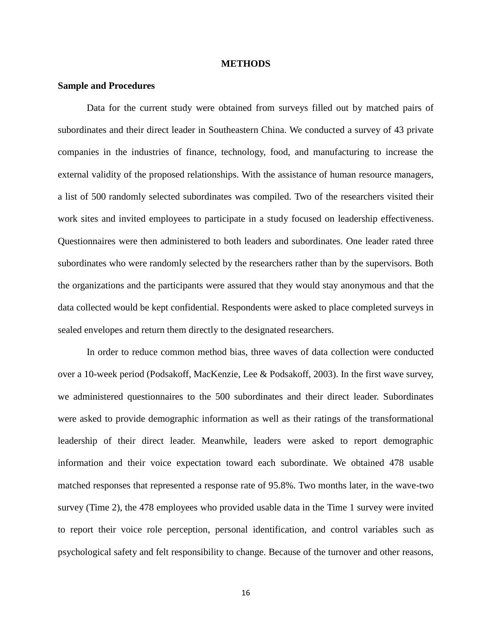#### **METHODS**

#### **Sample and Procedures**

Data for the current study were obtained from surveys filled out by matched pairs of subordinates and their direct leader in Southeastern China. We conducted a survey of 43 private companies in the industries of finance, technology, food, and manufacturing to increase the external validity of the proposed relationships. With the assistance of human resource managers, a list of 500 randomly selected subordinates was compiled. Two of the researchers visited their work sites and invited employees to participate in a study focused on leadership effectiveness. Questionnaires were then administered to both leaders and subordinates. One leader rated three subordinates who were randomly selected by the researchers rather than by the supervisors. Both the organizations and the participants were assured that they would stay anonymous and that the data collected would be kept confidential. Respondents were asked to place completed surveys in sealed envelopes and return them directly to the designated researchers.

In order to reduce common method bias, three waves of data collection were conducted over a 10-week period (Podsakoff, MacKenzie, Lee & Podsakoff, 2003). In the first wave survey, we administered questionnaires to the 500 subordinates and their direct leader. Subordinates were asked to provide demographic information as well as their ratings of the transformational leadership of their direct leader. Meanwhile, leaders were asked to report demographic information and their voice expectation toward each subordinate. We obtained 478 usable matched responses that represented a response rate of 95.8%. Two months later, in the wave-two survey (Time 2), the 478 employees who provided usable data in the Time 1 survey were invited to report their voice role perception, personal identification, and control variables such as psychological safety and felt responsibility to change. Because of the turnover and other reasons,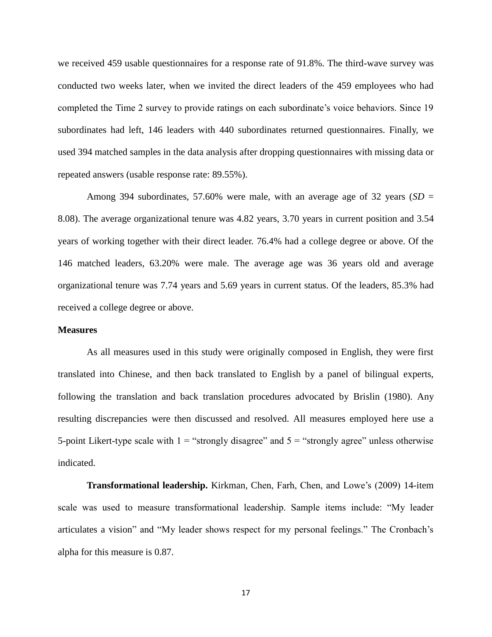we received 459 usable questionnaires for a response rate of 91.8%. The third-wave survey was conducted two weeks later, when we invited the direct leaders of the 459 employees who had completed the Time 2 survey to provide ratings on each subordinate's voice behaviors. Since 19 subordinates had left, 146 leaders with 440 subordinates returned questionnaires. Finally, we used 394 matched samples in the data analysis after dropping questionnaires with missing data or repeated answers (usable response rate: 89.55%).

Among 394 subordinates, 57.60% were male, with an average age of 32 years ( $SD =$ 8.08). The average organizational tenure was 4.82 years, 3.70 years in current position and 3.54 years of working together with their direct leader. 76.4% had a college degree or above. Of the 146 matched leaders, 63.20% were male. The average age was 36 years old and average organizational tenure was 7.74 years and 5.69 years in current status. Of the leaders, 85.3% had received a college degree or above.

#### **Measures**

As all measures used in this study were originally composed in English, they were first translated into Chinese, and then back translated to English by a panel of bilingual experts, following the translation and back translation procedures advocated by Brislin (1980). Any resulting discrepancies were then discussed and resolved. All measures employed here use a 5-point Likert-type scale with  $1 =$  "strongly disagree" and  $5 =$  "strongly agree" unless otherwise indicated.

**Transformational leadership.** Kirkman, Chen, Farh, Chen, and Lowe's (2009) 14-item scale was used to measure transformational leadership. Sample items include: "My leader articulates a vision" and "My leader shows respect for my personal feelings." The Cronbach's alpha for this measure is 0.87.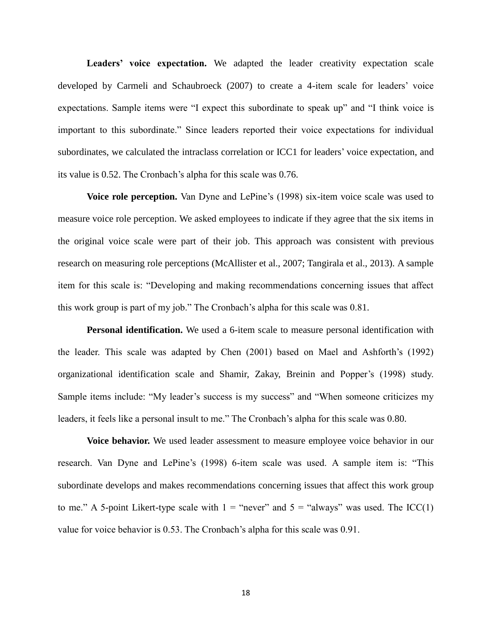Leaders' voice expectation. We adapted the leader creativity expectation scale developed by Carmeli and Schaubroeck (2007) to create a 4-item scale for leaders' voice expectations. Sample items were "I expect this subordinate to speak up" and "I think voice is important to this subordinate." Since leaders reported their voice expectations for individual subordinates, we calculated the intraclass correlation or ICC1 for leaders' voice expectation, and its value is 0.52. The Cronbach's alpha for this scale was 0.76.

**Voice role perception.** Van Dyne and LePine's (1998) six-item voice scale was used to measure voice role perception. We asked employees to indicate if they agree that the six items in the original voice scale were part of their job. This approach was consistent with previous research on measuring role perceptions (McAllister et al., 2007; Tangirala et al., 2013). A sample item for this scale is: "Developing and making recommendations concerning issues that affect this work group is part of my job." The Cronbach's alpha for this scale was 0.81.

**Personal identification.** We used a 6-item scale to measure personal identification with the leader. This scale was adapted by Chen (2001) based on Mael and Ashforth's (1992) organizational identification scale and Shamir, Zakay, Breinin and Popper's (1998) study. Sample items include: "My leader's success is my success" and "When someone criticizes my leaders, it feels like a personal insult to me." The Cronbach's alpha for this scale was 0.80.

**Voice behavior.** We used leader assessment to measure employee voice behavior in our research. Van Dyne and LePine's (1998) 6-item scale was used. A sample item is: "This subordinate develops and makes recommendations concerning issues that affect this work group to me." A 5-point Likert-type scale with  $1 =$  "never" and  $5 =$  "always" was used. The ICC(1) value for voice behavior is 0.53. The Cronbach's alpha for this scale was 0.91.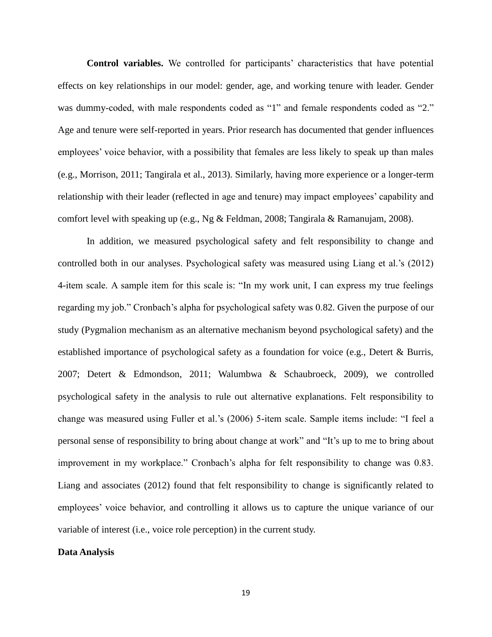**Control variables.** We controlled for participants' characteristics that have potential effects on key relationships in our model: gender, age, and working tenure with leader. Gender was dummy-coded, with male respondents coded as "1" and female respondents coded as "2." Age and tenure were self-reported in years. Prior research has documented that gender influences employees' voice behavior, with a possibility that females are less likely to speak up than males (e.g., Morrison, 2011; Tangirala et al., 2013). Similarly, having more experience or a longer-term relationship with their leader (reflected in age and tenure) may impact employees' capability and comfort level with speaking up (e.g., Ng & Feldman, 2008; Tangirala & Ramanujam, 2008).

In addition, we measured psychological safety and felt responsibility to change and controlled both in our analyses. Psychological safety was measured using Liang et al.'s (2012) 4-item scale. A sample item for this scale is: "In my work unit, I can express my true feelings regarding my job." Cronbach's alpha for psychological safety was 0.82. Given the purpose of our study (Pygmalion mechanism as an alternative mechanism beyond psychological safety) and the established importance of psychological safety as a foundation for voice (e.g., Detert & Burris, 2007; Detert & Edmondson, 2011; Walumbwa & Schaubroeck, 2009), we controlled psychological safety in the analysis to rule out alternative explanations. Felt responsibility to change was measured using Fuller et al.'s (2006) 5-item scale. Sample items include: "I feel a personal sense of responsibility to bring about change at work" and "It's up to me to bring about improvement in my workplace." Cronbach's alpha for felt responsibility to change was 0.83. Liang and associates (2012) found that felt responsibility to change is significantly related to employees' voice behavior, and controlling it allows us to capture the unique variance of our variable of interest (i.e., voice role perception) in the current study.

#### **Data Analysis**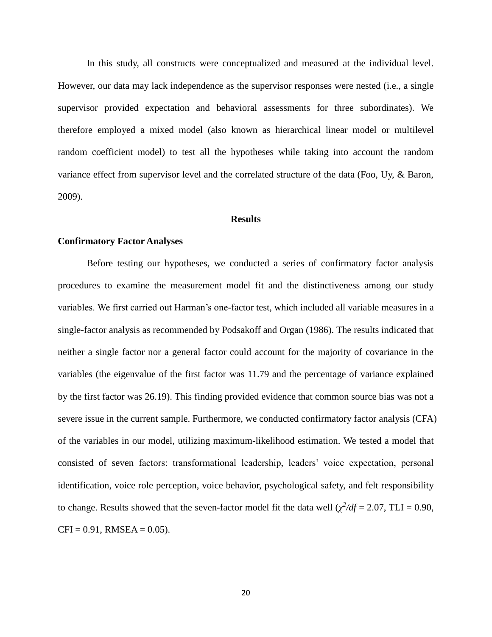In this study, all constructs were conceptualized and measured at the individual level. However, our data may lack independence as the supervisor responses were nested (i.e., a single supervisor provided expectation and behavioral assessments for three subordinates). We therefore employed a mixed model (also known as hierarchical linear model or multilevel random coefficient model) to test all the hypotheses while taking into account the random variance effect from supervisor level and the correlated structure of the data (Foo, Uy, & Baron, 2009).

#### **Results**

#### **Confirmatory Factor Analyses**

Before testing our hypotheses, we conducted a series of confirmatory factor analysis procedures to examine the measurement model fit and the distinctiveness among our study variables. We first carried out Harman's one-factor test, which included all variable measures in a single-factor analysis as recommended by Podsakoff and Organ (1986). The results indicated that neither a single factor nor a general factor could account for the majority of covariance in the variables (the eigenvalue of the first factor was 11.79 and the percentage of variance explained by the first factor was 26.19). This finding provided evidence that common source bias was not a severe issue in the current sample. Furthermore, we conducted confirmatory factor analysis (CFA) of the variables in our model, utilizing maximum-likelihood estimation. We tested a model that consisted of seven factors: transformational leadership, leaders' voice expectation, personal identification, voice role perception, voice behavior, psychological safety, and felt responsibility to change. Results showed that the seven-factor model fit the data well  $(\chi^2/df = 2.07, \text{T}LI = 0.90,$  $CFI = 0.91$ , RMSEA = 0.05).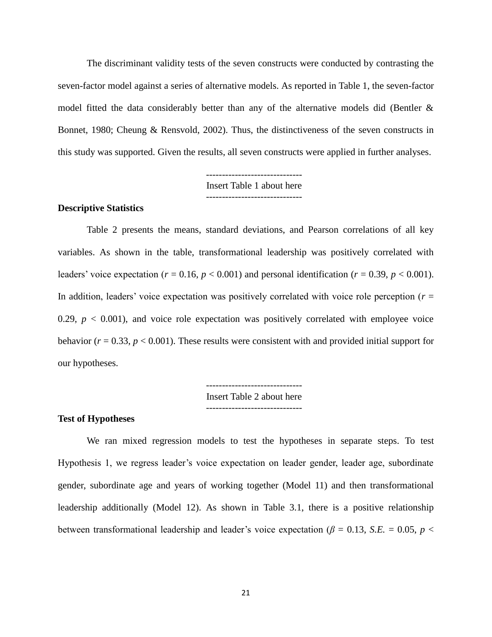The discriminant validity tests of the seven constructs were conducted by contrasting the seven-factor model against a series of alternative models. As reported in Table 1, the seven-factor model fitted the data considerably better than any of the alternative models did (Bentler  $\&$ Bonnet, 1980; Cheung & Rensvold, 2002). Thus, the distinctiveness of the seven constructs in this study was supported. Given the results, all seven constructs were applied in further analyses.

> ------------------------------ Insert Table 1 about here ------------------------------

#### **Descriptive Statistics**

Table 2 presents the means, standard deviations, and Pearson correlations of all key variables. As shown in the table, transformational leadership was positively correlated with leaders' voice expectation ( $r = 0.16$ ,  $p < 0.001$ ) and personal identification ( $r = 0.39$ ,  $p < 0.001$ ). In addition, leaders' voice expectation was positively correlated with voice role perception ( $r =$ 0.29,  $p < 0.001$ ), and voice role expectation was positively correlated with employee voice behavior ( $r = 0.33$ ,  $p < 0.001$ ). These results were consistent with and provided initial support for our hypotheses.

> ------------------------------ Insert Table 2 about here ------------------------------

#### **Test of Hypotheses**

We ran mixed regression models to test the hypotheses in separate steps. To test Hypothesis 1, we regress leader's voice expectation on leader gender, leader age, subordinate gender, subordinate age and years of working together (Model 11) and then transformational leadership additionally (Model 12). As shown in Table 3.1, there is a positive relationship between transformational leadership and leader's voice expectation ( $\beta$  = 0.13, *S.E.* = 0.05, *p* <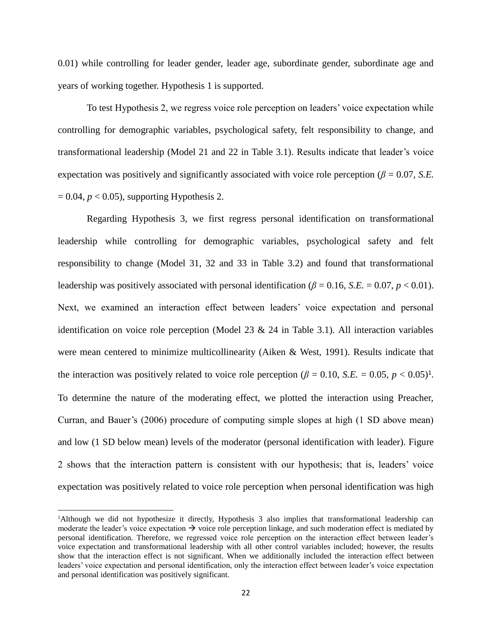0.01) while controlling for leader gender, leader age, subordinate gender, subordinate age and years of working together. Hypothesis 1 is supported.

To test Hypothesis 2, we regress voice role perception on leaders' voice expectation while controlling for demographic variables, psychological safety, felt responsibility to change, and transformational leadership (Model 21 and 22 in Table 3.1). Results indicate that leader's voice expectation was positively and significantly associated with voice role perception ( $\beta = 0.07$ , *S.E.*)  $= 0.04$ ,  $p < 0.05$ ), supporting Hypothesis 2.

Regarding Hypothesis 3, we first regress personal identification on transformational leadership while controlling for demographic variables, psychological safety and felt responsibility to change (Model 31, 32 and 33 in Table 3.2) and found that transformational leadership was positively associated with personal identification ( $\beta$  = 0.16, *S.E.* = 0.07, *p* < 0.01). Next, we examined an interaction effect between leaders' voice expectation and personal identification on voice role perception (Model 23 & 24 in Table 3.1). All interaction variables were mean centered to minimize multicollinearity (Aiken & West, 1991). Results indicate that the interaction was positively related to voice role perception ( $\beta = 0.10$ , *S.E.* = 0.05,  $p < 0.05$ )<sup>1</sup>. To determine the nature of the moderating effect, we plotted the interaction using Preacher, Curran, and Bauer's (2006) procedure of computing simple slopes at high (1 SD above mean) and low (1 SD below mean) levels of the moderator (personal identification with leader). Figure 2 shows that the interaction pattern is consistent with our hypothesis; that is, leaders' voice expectation was positively related to voice role perception when personal identification was high

 $\overline{a}$ 

<sup>1</sup>Although we did not hypothesize it directly, Hypothesis 3 also implies that transformational leadership can moderate the leader's voice expectation  $\rightarrow$  voice role perception linkage, and such moderation effect is mediated by personal identification. Therefore, we regressed voice role perception on the interaction effect between leader's voice expectation and transformational leadership with all other control variables included; however, the results show that the interaction effect is not significant. When we additionally included the interaction effect between leaders' voice expectation and personal identification, only the interaction effect between leader's voice expectation and personal identification was positively significant.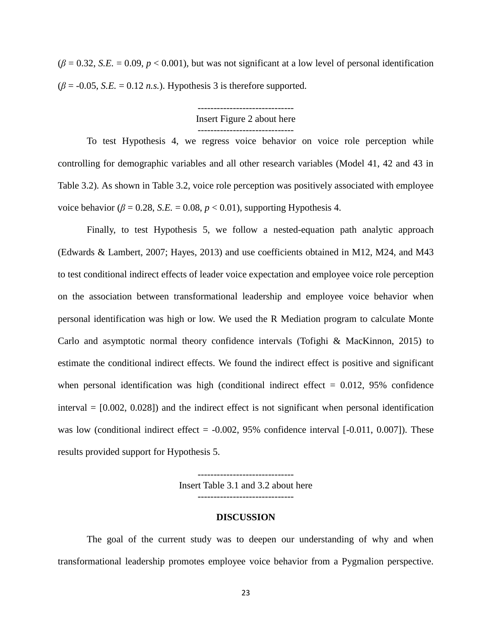$(\beta = 0.32, S.E. = 0.09, p < 0.001)$ , but was not significant at a low level of personal identification  $(\beta = -0.05, S.E. = 0.12 \, n.s.).$  Hypothesis 3 is therefore supported.

## Insert Figure 2 about here ------------------------------

To test Hypothesis 4, we regress voice behavior on voice role perception while controlling for demographic variables and all other research variables (Model 41, 42 and 43 in Table 3.2). As shown in Table 3.2, voice role perception was positively associated with employee voice behavior ( $\beta = 0.28$ , *S.E.* = 0.08,  $p < 0.01$ ), supporting Hypothesis 4.

Finally, to test Hypothesis 5, we follow a nested-equation path analytic approach (Edwards & Lambert, 2007; Hayes, 2013) and use coefficients obtained in M12, M24, and M43 to test conditional indirect effects of leader voice expectation and employee voice role perception on the association between transformational leadership and employee voice behavior when personal identification was high or low. We used the R Mediation program to calculate Monte Carlo and asymptotic normal theory confidence intervals (Tofighi & MacKinnon, 2015) to estimate the conditional indirect effects. We found the indirect effect is positive and significant when personal identification was high (conditional indirect effect  $= 0.012$ , 95% confidence interval  $= [0.002, 0.028]$  and the indirect effect is not significant when personal identification was low (conditional indirect effect  $= -0.002$ , 95% confidence interval  $[-0.011, 0.007]$ ). These results provided support for Hypothesis 5.

> Insert Table 3.1 and 3.2 about here ------------------------------

------------------------------

#### **DISCUSSION**

The goal of the current study was to deepen our understanding of why and when transformational leadership promotes employee voice behavior from a Pygmalion perspective.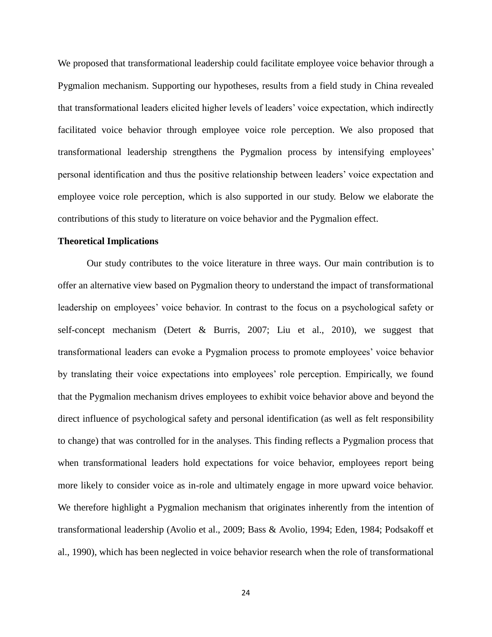We proposed that transformational leadership could facilitate employee voice behavior through a Pygmalion mechanism. Supporting our hypotheses, results from a field study in China revealed that transformational leaders elicited higher levels of leaders' voice expectation, which indirectly facilitated voice behavior through employee voice role perception. We also proposed that transformational leadership strengthens the Pygmalion process by intensifying employees' personal identification and thus the positive relationship between leaders' voice expectation and employee voice role perception, which is also supported in our study. Below we elaborate the contributions of this study to literature on voice behavior and the Pygmalion effect.

#### **Theoretical Implications**

Our study contributes to the voice literature in three ways. Our main contribution is to offer an alternative view based on Pygmalion theory to understand the impact of transformational leadership on employees' voice behavior. In contrast to the focus on a psychological safety or self-concept mechanism (Detert & Burris, 2007; Liu et al., 2010), we suggest that transformational leaders can evoke a Pygmalion process to promote employees' voice behavior by translating their voice expectations into employees' role perception. Empirically, we found that the Pygmalion mechanism drives employees to exhibit voice behavior above and beyond the direct influence of psychological safety and personal identification (as well as felt responsibility to change) that was controlled for in the analyses. This finding reflects a Pygmalion process that when transformational leaders hold expectations for voice behavior, employees report being more likely to consider voice as in-role and ultimately engage in more upward voice behavior. We therefore highlight a Pygmalion mechanism that originates inherently from the intention of transformational leadership (Avolio et al., 2009; Bass & Avolio, 1994; Eden, 1984; Podsakoff et al., 1990), which has been neglected in voice behavior research when the role of transformational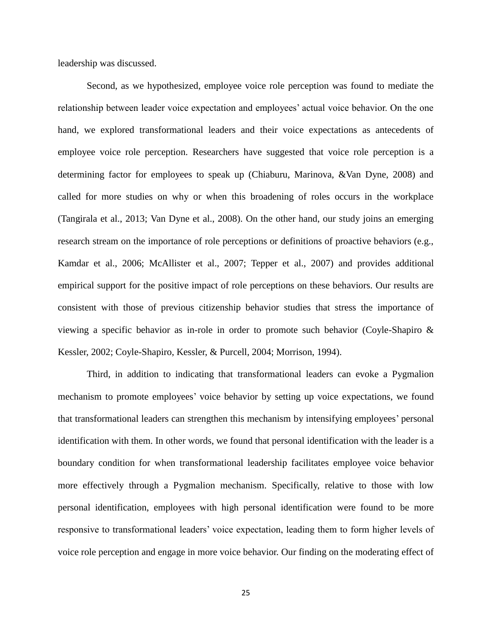leadership was discussed.

Second, as we hypothesized, employee voice role perception was found to mediate the relationship between leader voice expectation and employees' actual voice behavior. On the one hand, we explored transformational leaders and their voice expectations as antecedents of employee voice role perception. Researchers have suggested that voice role perception is a determining factor for employees to speak up (Chiaburu, Marinova, &Van Dyne, 2008) and called for more studies on why or when this broadening of roles occurs in the workplace (Tangirala et al., 2013; Van Dyne et al., 2008). On the other hand, our study joins an emerging research stream on the importance of role perceptions or definitions of proactive behaviors (e.g., Kamdar et al., 2006; McAllister et al., 2007; Tepper et al., 2007) and provides additional empirical support for the positive impact of role perceptions on these behaviors. Our results are consistent with those of previous citizenship behavior studies that stress the importance of viewing a specific behavior as in-role in order to promote such behavior (Coyle-Shapiro & Kessler, 2002; Coyle-Shapiro, Kessler, & Purcell, 2004; Morrison, 1994).

Third, in addition to indicating that transformational leaders can evoke a Pygmalion mechanism to promote employees' voice behavior by setting up voice expectations, we found that transformational leaders can strengthen this mechanism by intensifying employees' personal identification with them. In other words, we found that personal identification with the leader is a boundary condition for when transformational leadership facilitates employee voice behavior more effectively through a Pygmalion mechanism. Specifically, relative to those with low personal identification, employees with high personal identification were found to be more responsive to transformational leaders' voice expectation, leading them to form higher levels of voice role perception and engage in more voice behavior. Our finding on the moderating effect of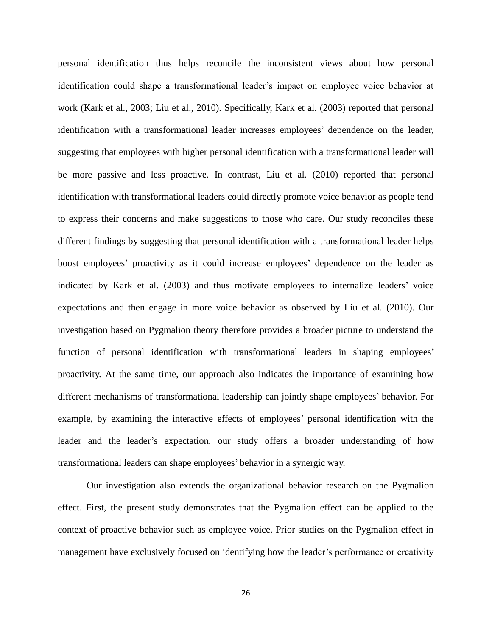personal identification thus helps reconcile the inconsistent views about how personal identification could shape a transformational leader's impact on employee voice behavior at work (Kark et al., 2003; Liu et al., 2010). Specifically, Kark et al. (2003) reported that personal identification with a transformational leader increases employees' dependence on the leader, suggesting that employees with higher personal identification with a transformational leader will be more passive and less proactive. In contrast, Liu et al. (2010) reported that personal identification with transformational leaders could directly promote voice behavior as people tend to express their concerns and make suggestions to those who care. Our study reconciles these different findings by suggesting that personal identification with a transformational leader helps boost employees' proactivity as it could increase employees' dependence on the leader as indicated by Kark et al. (2003) and thus motivate employees to internalize leaders' voice expectations and then engage in more voice behavior as observed by Liu et al. (2010). Our investigation based on Pygmalion theory therefore provides a broader picture to understand the function of personal identification with transformational leaders in shaping employees' proactivity. At the same time, our approach also indicates the importance of examining how different mechanisms of transformational leadership can jointly shape employees' behavior. For example, by examining the interactive effects of employees' personal identification with the leader and the leader's expectation, our study offers a broader understanding of how transformational leaders can shape employees' behavior in a synergic way.

Our investigation also extends the organizational behavior research on the Pygmalion effect. First, the present study demonstrates that the Pygmalion effect can be applied to the context of proactive behavior such as employee voice. Prior studies on the Pygmalion effect in management have exclusively focused on identifying how the leader's performance or creativity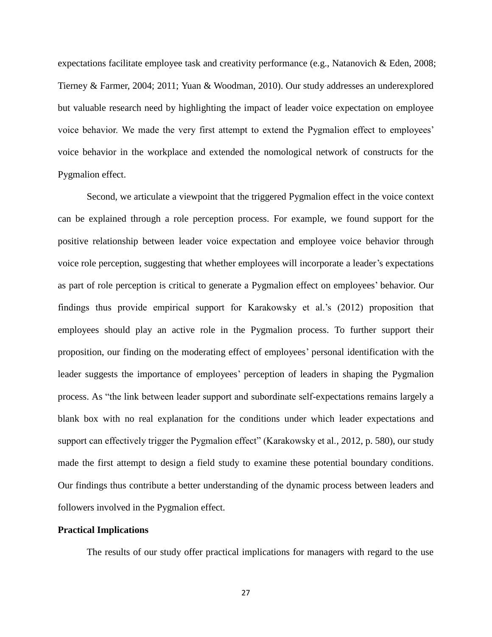expectations facilitate employee task and creativity performance (e.g., Natanovich & Eden, 2008; Tierney & Farmer, 2004; 2011; Yuan & Woodman, 2010). Our study addresses an underexplored but valuable research need by highlighting the impact of leader voice expectation on employee voice behavior. We made the very first attempt to extend the Pygmalion effect to employees' voice behavior in the workplace and extended the nomological network of constructs for the Pygmalion effect.

Second, we articulate a viewpoint that the triggered Pygmalion effect in the voice context can be explained through a role perception process. For example, we found support for the positive relationship between leader voice expectation and employee voice behavior through voice role perception, suggesting that whether employees will incorporate a leader's expectations as part of role perception is critical to generate a Pygmalion effect on employees' behavior. Our findings thus provide empirical support for Karakowsky et al.'s (2012) proposition that employees should play an active role in the Pygmalion process. To further support their proposition, our finding on the moderating effect of employees' personal identification with the leader suggests the importance of employees' perception of leaders in shaping the Pygmalion process. As "the link between leader support and subordinate self-expectations remains largely a blank box with no real explanation for the conditions under which leader expectations and support can effectively trigger the Pygmalion effect" (Karakowsky et al., 2012, p. 580), our study made the first attempt to design a field study to examine these potential boundary conditions. Our findings thus contribute a better understanding of the dynamic process between leaders and followers involved in the Pygmalion effect.

#### **Practical Implications**

The results of our study offer practical implications for managers with regard to the use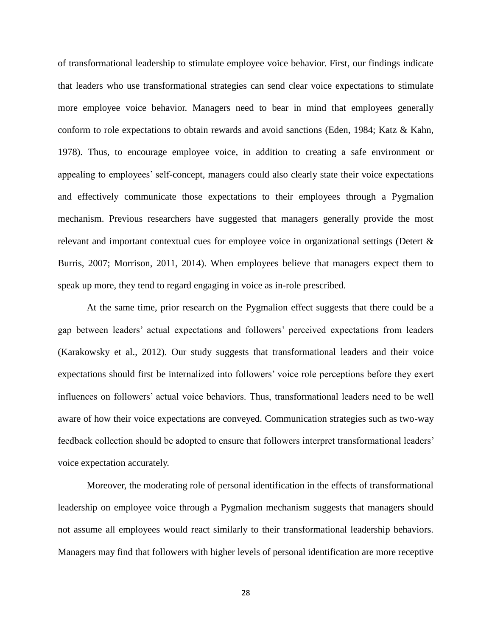of transformational leadership to stimulate employee voice behavior. First, our findings indicate that leaders who use transformational strategies can send clear voice expectations to stimulate more employee voice behavior. Managers need to bear in mind that employees generally conform to role expectations to obtain rewards and avoid sanctions (Eden, 1984; Katz & Kahn, 1978). Thus, to encourage employee voice, in addition to creating a safe environment or appealing to employees' self-concept, managers could also clearly state their voice expectations and effectively communicate those expectations to their employees through a Pygmalion mechanism. Previous researchers have suggested that managers generally provide the most relevant and important contextual cues for employee voice in organizational settings (Detert & Burris, 2007; Morrison, 2011, 2014). When employees believe that managers expect them to speak up more, they tend to regard engaging in voice as in-role prescribed.

At the same time, prior research on the Pygmalion effect suggests that there could be a gap between leaders' actual expectations and followers' perceived expectations from leaders (Karakowsky et al., 2012). Our study suggests that transformational leaders and their voice expectations should first be internalized into followers' voice role perceptions before they exert influences on followers' actual voice behaviors. Thus, transformational leaders need to be well aware of how their voice expectations are conveyed. Communication strategies such as two-way feedback collection should be adopted to ensure that followers interpret transformational leaders' voice expectation accurately.

Moreover, the moderating role of personal identification in the effects of transformational leadership on employee voice through a Pygmalion mechanism suggests that managers should not assume all employees would react similarly to their transformational leadership behaviors. Managers may find that followers with higher levels of personal identification are more receptive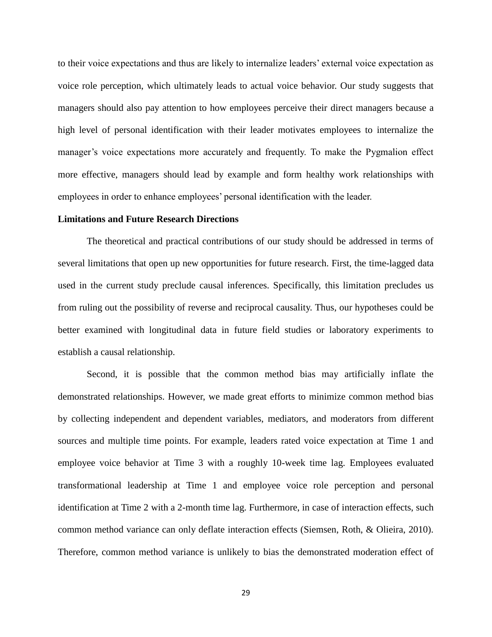to their voice expectations and thus are likely to internalize leaders' external voice expectation as voice role perception, which ultimately leads to actual voice behavior. Our study suggests that managers should also pay attention to how employees perceive their direct managers because a high level of personal identification with their leader motivates employees to internalize the manager's voice expectations more accurately and frequently. To make the Pygmalion effect more effective, managers should lead by example and form healthy work relationships with employees in order to enhance employees' personal identification with the leader.

#### **Limitations and Future Research Directions**

The theoretical and practical contributions of our study should be addressed in terms of several limitations that open up new opportunities for future research. First, the time-lagged data used in the current study preclude causal inferences. Specifically, this limitation precludes us from ruling out the possibility of reverse and reciprocal causality. Thus, our hypotheses could be better examined with longitudinal data in future field studies or laboratory experiments to establish a causal relationship.

Second, it is possible that the common method bias may artificially inflate the demonstrated relationships. However, we made great efforts to minimize common method bias by collecting independent and dependent variables, mediators, and moderators from different sources and multiple time points. For example, leaders rated voice expectation at Time 1 and employee voice behavior at Time 3 with a roughly 10-week time lag. Employees evaluated transformational leadership at Time 1 and employee voice role perception and personal identification at Time 2 with a 2-month time lag. Furthermore, in case of interaction effects, such common method variance can only deflate interaction effects (Siemsen, Roth, & Olieira, 2010). Therefore, common method variance is unlikely to bias the demonstrated moderation effect of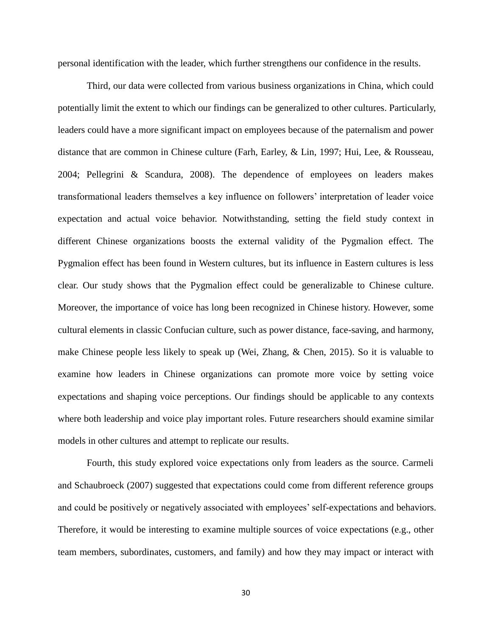personal identification with the leader, which further strengthens our confidence in the results.

Third, our data were collected from various business organizations in China, which could potentially limit the extent to which our findings can be generalized to other cultures. Particularly, leaders could have a more significant impact on employees because of the paternalism and power distance that are common in Chinese culture (Farh, Earley, & Lin, 1997; Hui, Lee, & Rousseau, 2004; Pellegrini & Scandura, 2008). The dependence of employees on leaders makes transformational leaders themselves a key influence on followers' interpretation of leader voice expectation and actual voice behavior. Notwithstanding, setting the field study context in different Chinese organizations boosts the external validity of the Pygmalion effect. The Pygmalion effect has been found in Western cultures, but its influence in Eastern cultures is less clear. Our study shows that the Pygmalion effect could be generalizable to Chinese culture. Moreover, the importance of voice has long been recognized in Chinese history. However, some cultural elements in classic Confucian culture, such as power distance, face-saving, and harmony, make Chinese people less likely to speak up (Wei, Zhang, & Chen, 2015). So it is valuable to examine how leaders in Chinese organizations can promote more voice by setting voice expectations and shaping voice perceptions. Our findings should be applicable to any contexts where both leadership and voice play important roles. Future researchers should examine similar models in other cultures and attempt to replicate our results.

Fourth, this study explored voice expectations only from leaders as the source. Carmeli and Schaubroeck (2007) suggested that expectations could come from different reference groups and could be positively or negatively associated with employees' self-expectations and behaviors. Therefore, it would be interesting to examine multiple sources of voice expectations (e.g., other team members, subordinates, customers, and family) and how they may impact or interact with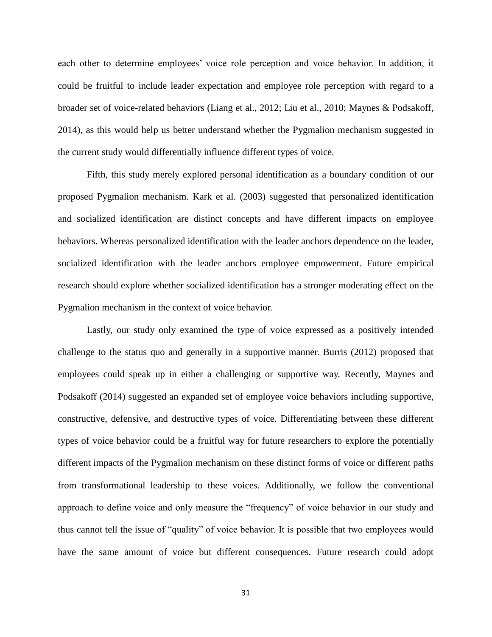each other to determine employees' voice role perception and voice behavior. In addition, it could be fruitful to include leader expectation and employee role perception with regard to a broader set of voice-related behaviors (Liang et al., 2012; Liu et al., 2010; Maynes & Podsakoff, 2014), as this would help us better understand whether the Pygmalion mechanism suggested in the current study would differentially influence different types of voice.

Fifth, this study merely explored personal identification as a boundary condition of our proposed Pygmalion mechanism. Kark et al. (2003) suggested that personalized identification and socialized identification are distinct concepts and have different impacts on employee behaviors. Whereas personalized identification with the leader anchors dependence on the leader, socialized identification with the leader anchors employee empowerment. Future empirical research should explore whether socialized identification has a stronger moderating effect on the Pygmalion mechanism in the context of voice behavior.

Lastly, our study only examined the type of voice expressed as a positively intended challenge to the status quo and generally in a supportive manner. Burris (2012) proposed that employees could speak up in either a challenging or supportive way. Recently, Maynes and Podsakoff (2014) suggested an expanded set of employee voice behaviors including supportive, constructive, defensive, and destructive types of voice. Differentiating between these different types of voice behavior could be a fruitful way for future researchers to explore the potentially different impacts of the Pygmalion mechanism on these distinct forms of voice or different paths from transformational leadership to these voices. Additionally, we follow the conventional approach to define voice and only measure the "frequency" of voice behavior in our study and thus cannot tell the issue of "quality" of voice behavior. It is possible that two employees would have the same amount of voice but different consequences. Future research could adopt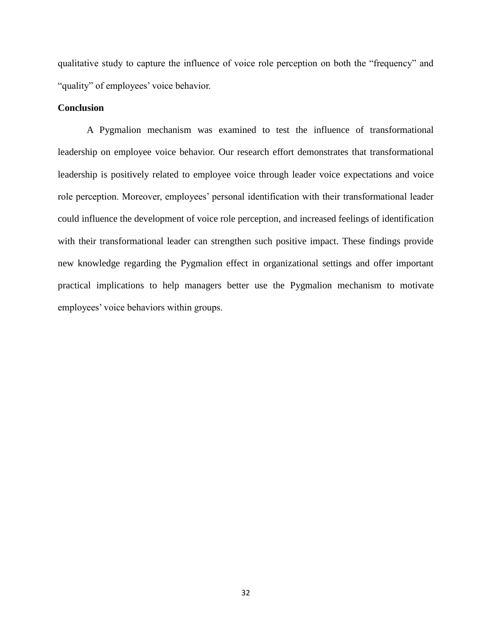qualitative study to capture the influence of voice role perception on both the "frequency" and "quality" of employees' voice behavior.

#### **Conclusion**

A Pygmalion mechanism was examined to test the influence of transformational leadership on employee voice behavior. Our research effort demonstrates that transformational leadership is positively related to employee voice through leader voice expectations and voice role perception. Moreover, employees' personal identification with their transformational leader could influence the development of voice role perception, and increased feelings of identification with their transformational leader can strengthen such positive impact. These findings provide new knowledge regarding the Pygmalion effect in organizational settings and offer important practical implications to help managers better use the Pygmalion mechanism to motivate employees' voice behaviors within groups.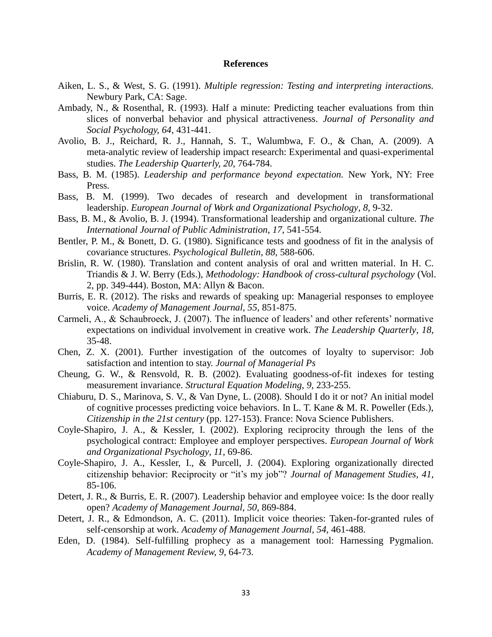#### **References**

- Aiken, L. S., & West, S. G. (1991). *Multiple regression: Testing and interpreting interactions.* Newbury Park, CA: Sage.
- Ambady, N., & Rosenthal, R. (1993). Half a minute: Predicting teacher evaluations from thin slices of nonverbal behavior and physical attractiveness. *Journal of Personality and Social Psychology, 64*, 431-441.
- Avolio, B. J., Reichard, R. J., Hannah, S. T., Walumbwa, F. O., & Chan, A. (2009). A meta-analytic review of leadership impact research: Experimental and quasi-experimental studies. *The Leadership Quarterly, 20*, 764-784.
- Bass, B. M. (1985). *Leadership and performance beyond expectation.* New York, NY: Free Press.
- Bass, B. M. (1999). Two decades of research and development in transformational leadership. *European Journal of Work and Organizational Psychology*, *8*, 9-32.
- Bass, B. M., & Avolio, B. J. (1994). Transformational leadership and organizational culture. *The International Journal of Public Administration*, *17*, 541-554.
- Bentler, P. M., & Bonett, D. G. (1980). Significance tests and goodness of fit in the analysis of covariance structures. *Psychological Bulletin*, *88*, 588-606.
- Brislin, R. W. (1980). Translation and content analysis of oral and written material. In H. C. Triandis & J. W. Berry (Eds.), *Methodology: Handbook of cross-cultural psychology* (Vol. 2, pp. 349-444). Boston, MA: Allyn & Bacon.
- Burris, E. R. (2012). The risks and rewards of speaking up: Managerial responses to employee voice. *Academy of Management Journal, 55*, 851-875.
- Carmeli, A., & Schaubroeck, J. (2007). The influence of leaders' and other referents' normative expectations on individual involvement in creative work. *The Leadership Quarterly, 18*, 35-48.
- Chen, Z. X. (2001). Further investigation of the outcomes of loyalty to supervisor: Job satisfaction and intention to stay. *Journal of Managerial Ps*
- Cheung, G. W., & Rensvold, R. B. (2002). Evaluating goodness-of-fit indexes for testing measurement invariance. *Structural Equation Modeling*, *9*, 233-255.
- Chiaburu, D. S., Marinova, S. V., & Van Dyne, L. (2008). Should I do it or not? An initial model of cognitive processes predicting voice behaviors. In L. T. Kane & M. R. Poweller (Eds.), *Citizenship in the 21st century* (pp. 127-153). France: Nova Science Publishers.
- Coyle-Shapiro, J. A., & Kessler, I. (2002). Exploring reciprocity through the lens of the psychological contract: Employee and employer perspectives. *European Journal of Work and Organizational Psychology, 11*, 69-86.
- Coyle-Shapiro, J. A., Kessler, I., & Purcell, J. (2004). Exploring organizationally directed citizenship behavior: Reciprocity or "it's my job"? *Journal of Management Studies, 41*, 85-106.
- Detert, J. R., & Burris, E. R. (2007). Leadership behavior and employee voice: Is the door really open? *Academy of Management Journal, 50*, 869-884.
- Detert, J. R., & Edmondson, A. C. (2011). Implicit voice theories: Taken-for-granted rules of self-censorship at work. *Academy of Management Journal, 54*, 461-488.
- Eden, D. (1984). Self-fulfilling prophecy as a management tool: Harnessing Pygmalion. *Academy of Management Review, 9*, 64-73.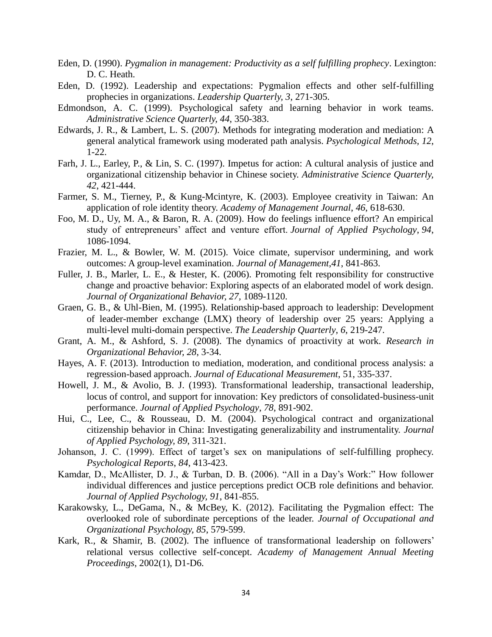- Eden, D. (1990). *Pygmalion in management: Productivity as a self fulfilling prophecy*. Lexington: D. C. Heath.
- Eden, D. (1992). Leadership and expectations: Pygmalion effects and other self-fulfilling prophecies in organizations. *Leadership Quarterly, 3*, 271-305.
- Edmondson, A. C. (1999). Psychological safety and learning behavior in work teams. *Administrative Science Quarterly, 44*, 350-383.
- Edwards, J. R., & Lambert, L. S. (2007). Methods for integrating moderation and mediation: A general analytical framework using moderated path analysis. *Psychological Methods, 12*, 1-22.
- Farh, J. L., Earley, P., & Lin, S. C. (1997). Impetus for action: A cultural analysis of justice and organizational citizenship behavior in Chinese society. *Administrative Science Quarterly, 42*, 421-444.
- Farmer, S. M., Tierney, P., & Kung-Mcintyre, K. (2003). Employee creativity in Taiwan: An application of role identity theory. *Academy of Management Journal*, *46*, 618-630.
- Foo, M. D., Uy, M. A., & Baron, R. A. (2009). How do feelings influence effort? An empirical study of entrepreneurs' affect and venture effort. *Journal of Applied Psychology*, *94*, 1086-1094.
- Frazier, M. L., & Bowler, W. M. (2015). Voice climate, supervisor undermining, and work outcomes: A group-level examination. *Journal of Management*,*41*, 841-863.
- Fuller, J. B., Marler, L. E., & Hester, K. (2006). Promoting felt responsibility for constructive change and proactive behavior: Exploring aspects of an elaborated model of work design. *Journal of Organizational Behavior, 27,* 1089-1120.
- Graen, G. B., & Uhl-Bien, M. (1995). Relationship-based approach to leadership: Development of leader-member exchange (LMX) theory of leadership over 25 years: Applying a multi-level multi-domain perspective. *The Leadership Quarterly*, *6*, 219-247.
- Grant, A. M., & Ashford, S. J. (2008). The dynamics of proactivity at work. *Research in Organizational Behavior, 28*, 3-34.
- Hayes, A. F. (2013). Introduction to mediation, moderation, and conditional process analysis: a regression-based approach. *Journal of Educational Measurement*, 51, 335-337.
- Howell, J. M., & Avolio, B. J. (1993). Transformational leadership, transactional leadership, locus of control, and support for innovation: Key predictors of consolidated-business-unit performance. *Journal of Applied Psychology*, *78*, 891-902.
- Hui, C., Lee, C., & Rousseau, D. M. (2004). Psychological contract and organizational citizenship behavior in China: Investigating generalizability and instrumentality. *Journal of Applied Psychology, 89*, 311-321.
- Johanson, J. C. (1999). Effect of target's sex on manipulations of self-fulfilling prophecy. *Psychological Reports*, *84*, 413-423.
- Kamdar, D., McAllister, D. J., & Turban, D. B. (2006). "All in a Day's Work:" How follower individual differences and justice perceptions predict OCB role definitions and behavior. *Journal of Applied Psychology, 91*, 841-855.
- Karakowsky, L., DeGama, N., & McBey, K. (2012). Facilitating the Pygmalion effect: The overlooked role of subordinate perceptions of the leader. *Journal of Occupational and Organizational Psychology, 85*, 579-599.
- Kark, R., & Shamir, B. (2002). The influence of transformational leadership on followers' relational versus collective self-concept. *Academy of Management Annual Meeting Proceedings*, 2002(1), D1-D6.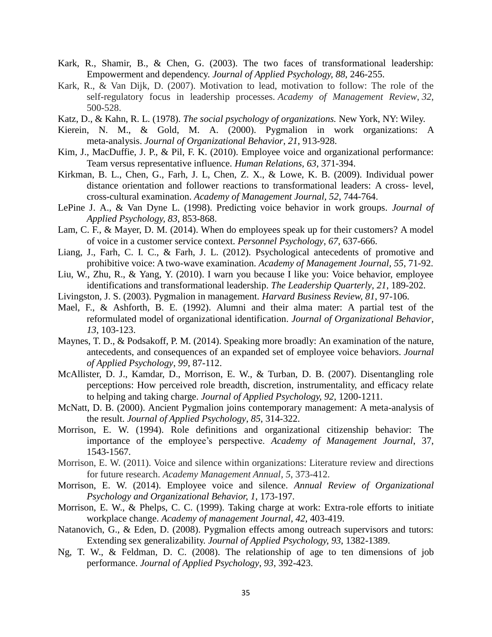- Kark, R., Shamir, B., & Chen, G. (2003). The two faces of transformational leadership: Empowerment and dependency. *Journal of Applied Psychology, 88*, 246-255.
- Kark, R., & Van Dijk, D. (2007). Motivation to lead, motivation to follow: The role of the self-regulatory focus in leadership processes. *Academy of Management Review*, *32*, 500-528.
- Katz, D., & Kahn, R. L. (1978). *The social psychology of organizations.* New York, NY: Wiley.
- Kierein, N. M., & Gold, M. A. (2000). Pygmalion in work organizations: A meta-analysis. *Journal of Organizational Behavior*, *21*, 913-928.
- Kim, J., MacDuffie, J. P., & Pil, F. K. (2010). Employee voice and organizational performance: Team versus representative influence. *Human Relations, 63*, 371-394.
- Kirkman, B. L., Chen, G., Farh, J. L, Chen, Z. X., & Lowe, K. B. (2009). Individual power distance orientation and follower reactions to transformational leaders: A cross- level, cross-cultural examination. *Academy of Management Journal, 52*, 744-764.
- LePine J. A., & Van Dyne L. (1998). Predicting voice behavior in work groups. *Journal of Applied Psychology, 83*, 853-868.
- Lam, C. F., & Mayer, D. M. (2014). When do employees speak up for their customers? A model of voice in a customer service context. *Personnel Psychology*, *67*, 637-666.
- Liang, J., Farh, C. I. C., & Farh, J. L. (2012). Psychological antecedents of promotive and prohibitive voice: A two-wave examination. *Academy of Management Journal, 55*, 71-92.
- Liu, W., Zhu, R., & Yang, Y. (2010). I warn you because I like you: Voice behavior, employee identifications and transformational leadership. *The Leadership Quarterly, 21*, 189-202.
- Livingston, J. S. (2003). Pygmalion in management. *Harvard Business Review, 81*, 97-106.
- Mael, F., & Ashforth, B. E. (1992). Alumni and their alma mater: A partial test of the reformulated model of organizational identification. *Journal of Organizational Behavior, 13*, 103-123.
- Maynes, T. D., & Podsakoff, P. M. (2014). Speaking more broadly: An examination of the nature, antecedents, and consequences of an expanded set of employee voice behaviors. *Journal of Applied Psychology*, *99*, 87-112.
- McAllister, D. J., Kamdar, D., Morrison, E. W., & Turban, D. B. (2007). Disentangling role perceptions: How perceived role breadth, discretion, instrumentality, and efficacy relate to helping and taking charge. *Journal of Applied Psychology, 92*, 1200-1211.
- McNatt, D. B. (2000). Ancient Pygmalion joins contemporary management: A meta-analysis of the result. *Journal of Applied Psychology*, *85*, 314-322.
- Morrison, E. W. (1994). Role definitions and organizational citizenship behavior: The importance of the employee's perspective. *Academy of Management Journal*, 37, 1543-1567.
- Morrison, E. W. (2011). Voice and silence within organizations: Literature review and directions for future research. *Academy Management Annual*, *5*, 373-412.
- Morrison, E. W. (2014). Employee voice and silence. *Annual Review of Organizational Psychology and Organizational Behavior, 1*, 173-197.
- Morrison, E. W., & Phelps, C. C. (1999). Taking charge at work: Extra-role efforts to initiate workplace change. *Academy of management Journal*, *42*, 403-419.
- Natanovich, G., & Eden, D. (2008). Pygmalion effects among outreach supervisors and tutors: Extending sex generalizability. *Journal of Applied Psychology, 93*, 1382-1389.
- Ng, T. W., & Feldman, D. C. (2008). The relationship of age to ten dimensions of job performance. *Journal of Applied Psychology*, *93*, 392-423.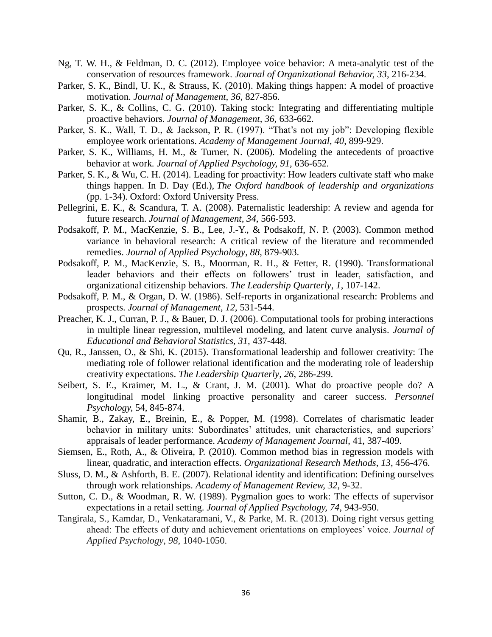- Ng, T. W. H., & Feldman, D. C. (2012). Employee voice behavior: A meta-analytic test of the conservation of resources framework. *Journal of Organizational Behavior, 33*, 216-234.
- Parker, S. K., Bindl, U. K., & Strauss, K. (2010). Making things happen: A model of proactive motivation. *Journal of Management, 36*, 827-856.
- Parker, S. K., & Collins, C. G. (2010). Taking stock: Integrating and differentiating multiple proactive behaviors. *Journal of Management, 36,* 633-662.
- Parker, S. K., Wall, T. D., & Jackson, P. R. (1997). "That's not my job": Developing flexible employee work orientations. *Academy of Management Journal*, *40*, 899-929.
- Parker, S. K., Williams, H. M., & Turner, N. (2006). Modeling the antecedents of proactive behavior at work*. Journal of Applied Psychology, 91,* 636-652*.*
- Parker, S. K., & Wu, C. H. (2014). Leading for proactivity: How leaders cultivate staff who make things happen. In D. Day (Ed.), *The Oxford handbook of leadership and organizations* (pp. 1-34). Oxford: Oxford University Press.
- Pellegrini, E. K., & Scandura, T. A. (2008). Paternalistic leadership: A review and agenda for future research. *Journal of Management, 34*, 566-593.
- Podsakoff, P. M., MacKenzie, S. B., Lee, J.-Y., & Podsakoff, N. P. (2003). Common method variance in behavioral research: A critical review of the literature and recommended remedies. *Journal of Applied Psychology*, *88*, 879-903.
- Podsakoff, P. M., MacKenzie, S. B., Moorman, R. H., & Fetter, R. (1990). Transformational leader behaviors and their effects on followers' trust in leader, satisfaction, and organizational citizenship behaviors. *The Leadership Quarterly*, *1*, 107-142.
- Podsakoff, P. M., & Organ, D. W. (1986). Self-reports in organizational research: Problems and prospects. *Journal of Management*, *12*, 531-544.
- Preacher, K. J., Curran, P. J., & Bauer, D. J. (2006). Computational tools for probing interactions in multiple linear regression, multilevel modeling, and latent curve analysis. *Journal of Educational and Behavioral Statistics, 31,* 437-448.
- Qu, R., Janssen, O., & Shi, K. (2015). Transformational leadership and follower creativity: The mediating role of follower relational identification and the moderating role of leadership creativity expectations. *The Leadership Quarterly, 26*, 286-299.
- Seibert, S. E., Kraimer, M. L., & Crant, J. M. (2001). What do proactive people do? A longitudinal model linking proactive personality and career success. *Personnel Psychology,* 54, 845-874.
- Shamir, B., Zakay, E., Breinin, E., & Popper, M. (1998). Correlates of charismatic leader behavior in military units: Subordinates' attitudes, unit characteristics, and superiors' appraisals of leader performance. *Academy of Management Journal*, 41, 387-409.
- Siemsen, E., Roth, A., & Oliveira, P. (2010). Common method bias in regression models with linear, quadratic, and interaction effects. *Organizational Research Methods*, *13*, 456-476.
- Sluss, D. M., & Ashforth, B. E. (2007). Relational identity and identification: Defining ourselves through work relationships. *Academy of Management Review, 32*, 9-32.
- Sutton, C. D., & Woodman, R. W. (1989). Pygmalion goes to work: The effects of supervisor expectations in a retail setting. *Journal of Applied Psychology, 74*, 943-950.
- Tangirala, S., Kamdar, D., Venkataramani, V., & Parke, M. R. (2013). Doing right versus getting ahead: The effects of duty and achievement orientations on employees' voice. *Journal of Applied Psychology*, *98*, 1040-1050.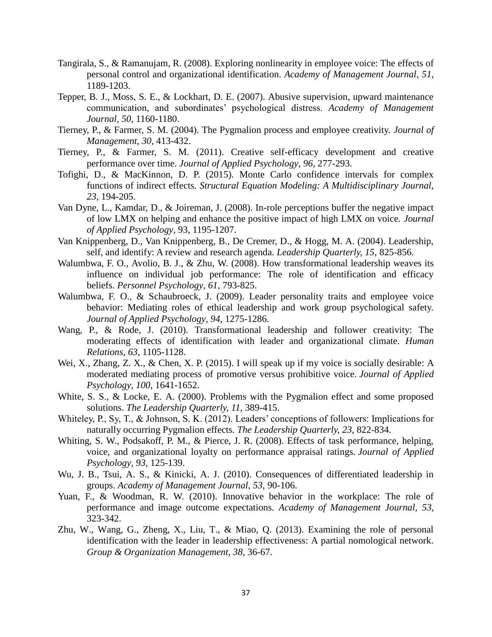- Tangirala, S., & Ramanujam, R. (2008). Exploring nonlinearity in employee voice: The effects of personal control and organizational identification. *Academy of Management Journal*, *51*, 1189-1203.
- Tepper, B. J., Moss, S. E., & Lockhart, D. E. (2007). Abusive supervision, upward maintenance communication, and subordinates' psychological distress. *Academy of Management Journal, 50*, 1160-1180.
- Tierney, P., & Farmer, S. M. (2004). The Pygmalion process and employee creativity. *Journal of Management, 30*, 413-432.
- Tierney, P., & Farmer, S. M. (2011). Creative self-efficacy development and creative performance over time. *Journal of Applied Psychology*, *96*, 277-293.
- Tofighi, D., & MacKinnon, D. P. (2015). Monte Carlo confidence intervals for complex functions of indirect effects. *Structural Equation Modeling: A Multidisciplinary Journal, 23*, 194-205.
- Van Dyne, L., Kamdar, D., & Joireman, J. (2008). In-role perceptions buffer the negative impact of low LMX on helping and enhance the positive impact of high LMX on voice. *Journal of Applied Psychology*, 93, 1195-1207.
- Van Knippenberg, D., Van Knippenberg, B., De Cremer, D., & Hogg, M. A. (2004). Leadership, self, and identify: A review and research agenda. *Leadership Quarterly, 15*, 825-856.
- Walumbwa, F. O., Avolio, B. J., & Zhu, W. (2008). How transformational leadership weaves its influence on individual job performance: The role of identification and efficacy beliefs. *Personnel Psychology*, *61*, 793-825.
- Walumbwa, F. O., & Schaubroeck, J. (2009). Leader personality traits and employee voice behavior: Mediating roles of ethical leadership and work group psychological safety. *Journal of Applied Psychology, 94*, 1275-1286.
- Wang, P., & Rode, J. (2010). Transformational leadership and follower creativity: The moderating effects of identification with leader and organizational climate. *Human Relations, 63*, 1105-1128.
- Wei, X., Zhang, Z. X., & Chen, X. P. (2015). I will speak up if my voice is socially desirable: A moderated mediating process of promotive versus prohibitive voice. *Journal of Applied Psychology*, *100*, 1641-1652.
- White, S. S., & Locke, E. A. (2000). Problems with the Pygmalion effect and some proposed solutions. *The Leadership Quarterly, 11*, 389-415.
- Whiteley, P., Sy, T., & Johnson, S. K. (2012). Leaders' conceptions of followers: Implications for naturally occurring Pygmalion effects. *The Leadership Quarterly, 23*, 822-834.
- Whiting, S. W., Podsakoff, P. M., & Pierce, J. R. (2008). Effects of task performance, helping, voice, and organizational loyalty on performance appraisal ratings. *Journal of Applied Psychology*, *93*, 125-139.
- Wu, J. B., Tsui, A. S., & Kinicki, A. J. (2010). Consequences of differentiated leadership in groups. *Academy of Management Journal*, *53*, 90-106.
- Yuan, F., & Woodman, R. W. (2010). Innovative behavior in the workplace: The role of performance and image outcome expectations. *Academy of Management Journal, 53*, 323-342.
- Zhu, W., Wang, G., Zheng, X., Liu, T., & Miao, Q. (2013). Examining the role of personal identification with the leader in leadership effectiveness: A partial nomological network. *Group & Organization Management, 38*, 36-67.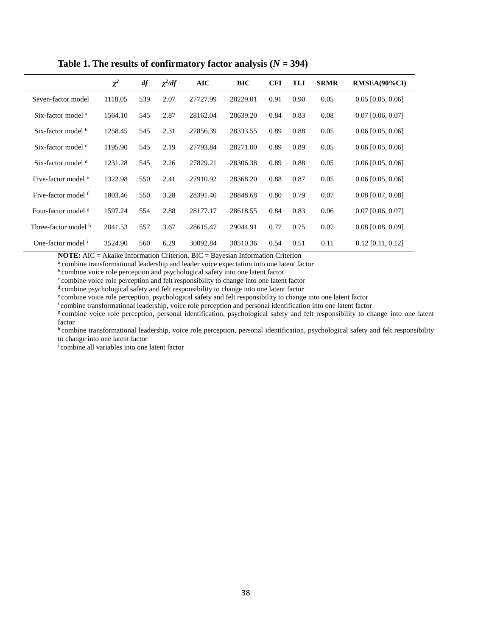|                                | $\chi^2$ | $d\!f$ | $\chi^2/df$ | <b>AIC</b> | <b>BIC</b> | <b>CFI</b> | TLI  | <b>SRMR</b> | RMSEA(90%CI)        |
|--------------------------------|----------|--------|-------------|------------|------------|------------|------|-------------|---------------------|
| Seven-factor model             | 1118.05  | 539    | 2.07        | 27727.99   | 28229.01   | 0.91       | 0.90 | 0.05        | $0.05$ [0.05, 0.06] |
| Six-factor model <sup>a</sup>  | 1564.10  | 545    | 2.87        | 28162.04   | 28639.20   | 0.84       | 0.83 | 0.08        | $0.07$ [0.06, 0.07] |
| Six-factor model b             | 1258.45  | 545    | 2.31        | 27856.39   | 28333.55   | 0.89       | 0.88 | 0.05        | $0.06$ [0.05, 0.06] |
| Six-factor model <sup>c</sup>  | 1195.90  | 545    | 2.19        | 27793.84   | 28271.00   | 0.89       | 0.89 | 0.05        | $0.06$ [0.05, 0.06] |
| Six-factor model d             | 1231.28  | 545    | 2.26        | 27829.21   | 28306.38   | 0.89       | 0.88 | 0.05        | $0.06$ [0.05, 0.06] |
| Five-factor model <sup>e</sup> | 1322.98  | 550    | 2.41        | 27910.92   | 28368.20   | 0.88       | 0.87 | 0.05        | $0.06$ [0.05, 0.06] |
| Five-factor model f            | 1803.46  | 550    | 3.28        | 28391.40   | 28848.68   | 0.80       | 0.79 | 0.07        | $0.08$ [0.07, 0.08] |
| Four-factor model <sup>g</sup> | 1597.24  | 554    | 2.88        | 28177.17   | 28618.55   | 0.84       | 0.83 | 0.06        | $0.07$ [0.06, 0.07] |
| Three-factor model h           | 2041.53  | 557    | 3.67        | 28615.47   | 29044.91   | 0.77       | 0.75 | 0.07        | $0.08$ [0.08, 0.09] |
| One-factor model <sup>i</sup>  | 3524.90  | 560    | 6.29        | 30092.84   | 30510.36   | 0.54       | 0.51 | 0.11        | $0.12$ [0.11, 0.12] |

Table 1. The results of confirmatory factor analysis  $(N = 394)$ 

**NOTE:** AIC = Akaike Information Criterion, BIC = Bayesian Information Criterion

<sup>a</sup> combine transformational leadership and leader voice expectation into one latent factor

**b** combine voice role perception and psychological safety into one latent factor

<sup>c</sup> combine voice role perception and felt responsibility to change into one latent factor

 $d$  combine psychological safety and felt responsibility to change into one latent factor

<sup>e</sup> combine voice role perception, psychological safety and felt responsibility to change into one latent factor

f combine transformational leadership, voice role perception and personal identification into one latent factor

g combine voice role perception, personal identification, psychological safety and felt responsibility to change into one latent factor

h combine transformational leadership, voice role perception, personal identification, psychological safety and felt responsibility to change into one latent factor

i combine all variables into one latent factor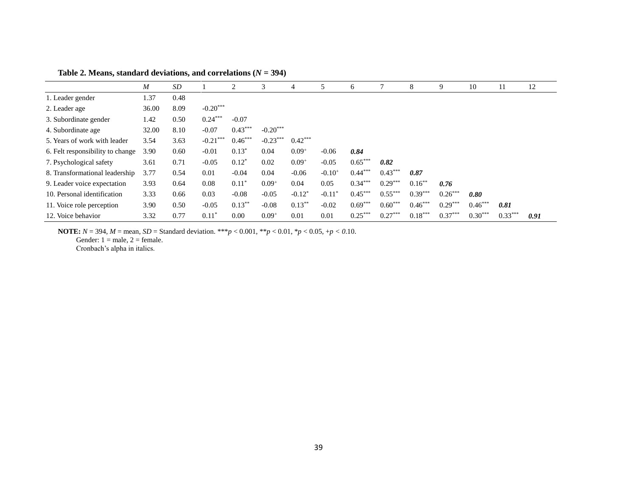|                                  | $\boldsymbol{M}$ | SD   |            | 2         | 3          | 4          | 5           | 6         |           | 8         | 9         | 10        | 11        | 12   |
|----------------------------------|------------------|------|------------|-----------|------------|------------|-------------|-----------|-----------|-----------|-----------|-----------|-----------|------|
| 1. Leader gender                 | 1.37             | 0.48 |            |           |            |            |             |           |           |           |           |           |           |      |
| 2. Leader age                    | 36.00            | 8.09 | $-0.20***$ |           |            |            |             |           |           |           |           |           |           |      |
| 3. Subordinate gender            | 1.42             | 0.50 | $0.24***$  | $-0.07$   |            |            |             |           |           |           |           |           |           |      |
| 4. Subordinate age               | 32.00            | 8.10 | $-0.07$    | $0.43***$ | $-0.20***$ |            |             |           |           |           |           |           |           |      |
| 5. Years of work with leader     | 3.54             | 3.63 | $-0.21***$ | $0.46***$ | $-0.23***$ | $0.42***$  |             |           |           |           |           |           |           |      |
| 6. Felt responsibility to change | 3.90             | 0.60 | $-0.01$    | $0.13*$   | 0.04       | $0.09^{+}$ | $-0.06$     | 0.84      |           |           |           |           |           |      |
| 7. Psychological safety          | 3.61             | 0.71 | $-0.05$    | $0.12*$   | 0.02       | $0.09^{+}$ | $-0.05$     | $0.65***$ | 0.82      |           |           |           |           |      |
| 8. Transformational leadership   | 3.77             | 0.54 | 0.01       | $-0.04$   | 0.04       | $-0.06$    | $-0.10^{+}$ | $0.44***$ | $0.43***$ | 0.87      |           |           |           |      |
| 9. Leader voice expectation      | 3.93             | 0.64 | 0.08       | $0.11*$   | $0.09^{+}$ | 0.04       | 0.05        | $0.34***$ | $0.29***$ | $0.16***$ | 0.76      |           |           |      |
| 10. Personal identification      | 3.33             | 0.66 | 0.03       | $-0.08$   | $-0.05$    | $-0.12*$   | $-0.11*$    | $0.45***$ | $0.55***$ | $0.39***$ | $0.26***$ | 0.80      |           |      |
| 11. Voice role perception        | 3.90             | 0.50 | $-0.05$    | $0.13***$ | $-0.08$    | $0.13***$  | $-0.02$     | $0.69***$ | $0.60***$ | $0.46***$ | $0.29***$ | $0.46***$ | 0.81      |      |
| 12. Voice behavior               | 3.32             | 0.77 | $0.11*$    | 0.00      | $0.09^{+}$ | 0.01       | 0.01        | $0.25***$ | $0.27***$ | $0.18***$ | $0.37***$ | $0.30***$ | $0.33***$ | 0.91 |

Table 2. Means, standard deviations, and correlations  $(N = 394)$ 

**NOTE:**  $N = 394$ ,  $M =$  mean,  $SD =$  Standard deviation. \*\*\* $p < 0.001$ , \*\* $p < 0.01$ , \* $p < 0.05$ , + $p < 0.10$ .

Gender:  $1 =$  male,  $2 =$  female.

Cronbach's alpha in italics.